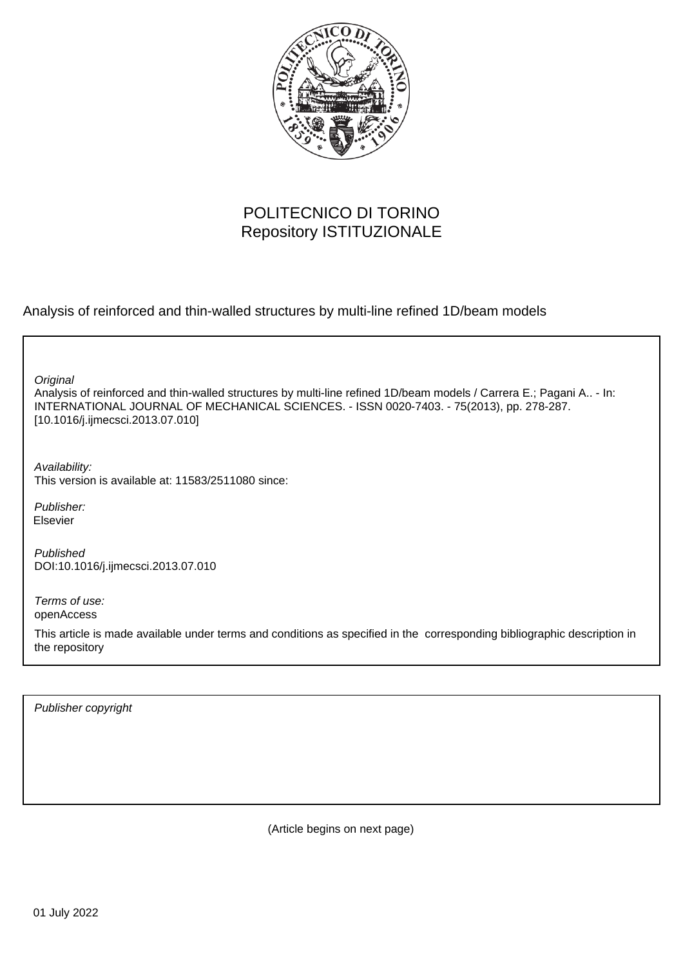

# POLITECNICO DI TORINO Repository ISTITUZIONALE

Analysis of reinforced and thin-walled structures by multi-line refined 1D/beam models

Analysis of reinforced and thin-walled structures by multi-line refined 1D/beam models / Carrera E.; Pagani A.. - In: INTERNATIONAL JOURNAL OF MECHANICAL SCIENCES. - ISSN 0020-7403. - 75(2013), pp. 278-287. [10.1016/j.ijmecsci.2013.07.010] **Original** 

Availability: This version is available at: 11583/2511080 since:

Publisher: Elsevier

Published DOI:10.1016/j.ijmecsci.2013.07.010

Terms of use: openAccess

This article is made available under terms and conditions as specified in the corresponding bibliographic description in the repository

Publisher copyright

(Article begins on next page)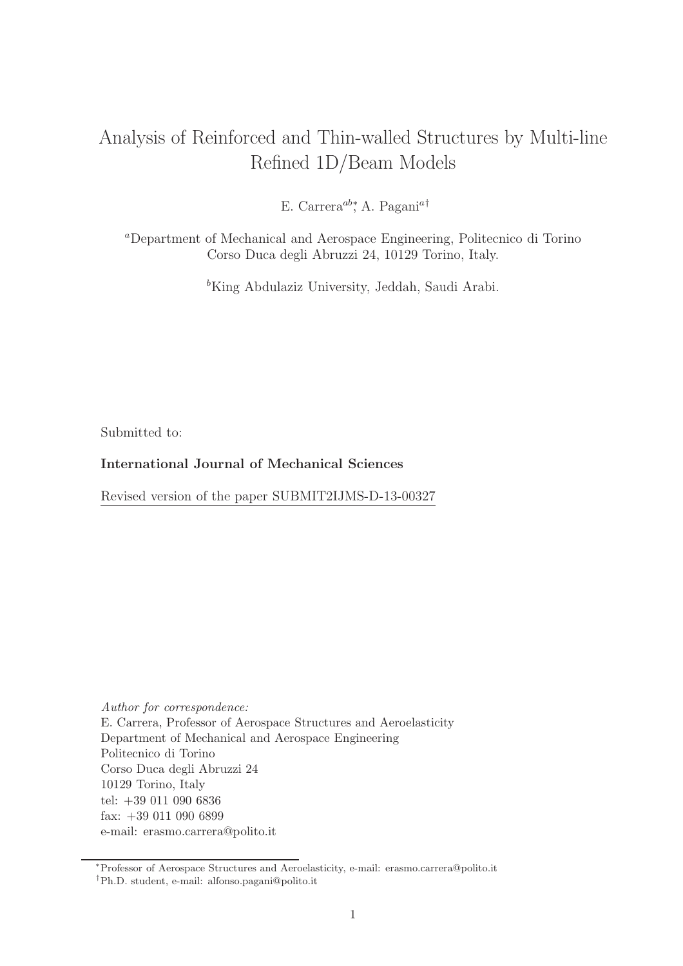# Analysis of Reinforced and Thin-walled Structures by Multi-line Refined 1D/Beam Models

E. Carrera<sup>ab</sup><sup>\*</sup>, A. Pagani<sup>a†</sup>

<sup>a</sup>Department of Mechanical and Aerospace Engineering, Politecnico di Torino Corso Duca degli Abruzzi 24, 10129 Torino, Italy.

<sup>b</sup>King Abdulaziz University, Jeddah, Saudi Arabi.

Submitted to:

### International Journal of Mechanical Sciences

Revised version of the paper SUBMIT2IJMS-D-13-00327

Author for correspondence: E. Carrera, Professor of Aerospace Structures and Aeroelasticity Department of Mechanical and Aerospace Engineering Politecnico di Torino Corso Duca degli Abruzzi 24 10129 Torino, Italy tel: +39 011 090 6836 fax: +39 011 090 6899 e-mail: erasmo.carrera@polito.it

<sup>∗</sup>Professor of Aerospace Structures and Aeroelasticity, e-mail: erasmo.carrera@polito.it †Ph.D. student, e-mail: alfonso.pagani@polito.it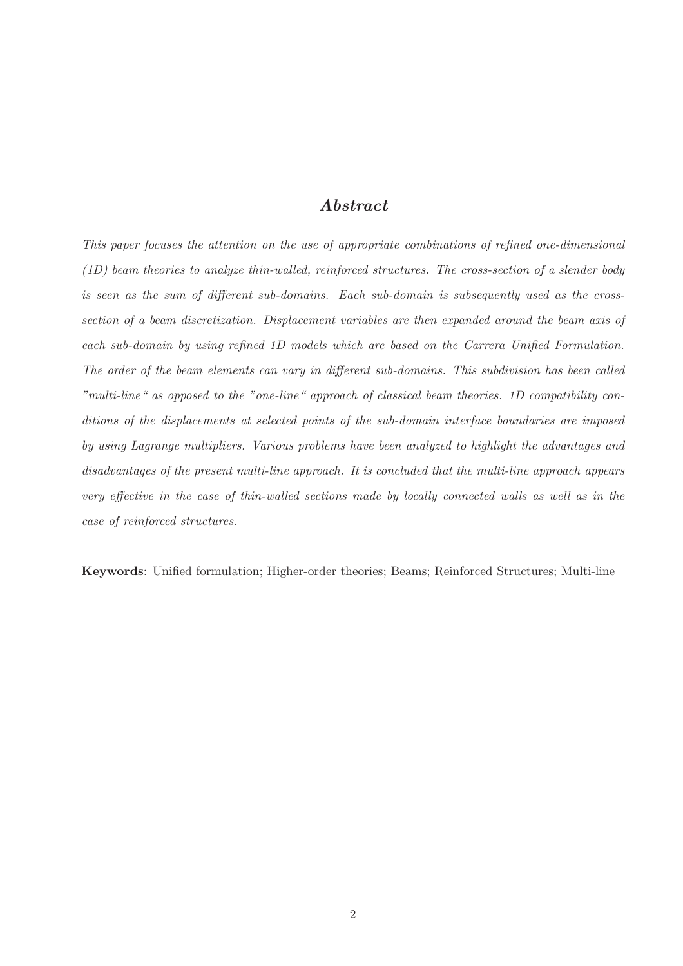## Abstract

This paper focuses the attention on the use of appropriate combinations of refined one-dimensional (1D) beam theories to analyze thin-walled, reinforced structures. The cross-section of a slender body is seen as the sum of different sub-domains. Each sub-domain is subsequently used as the crosssection of a beam discretization. Displacement variables are then expanded around the beam axis of each sub-domain by using refined 1D models which are based on the Carrera Unified Formulation. The order of the beam elements can vary in different sub-domains. This subdivision has been called "multi-line" as opposed to the "one-line" approach of classical beam theories. 1D compatibility conditions of the displacements at selected points of the sub-domain interface boundaries are imposed by using Lagrange multipliers. Various problems have been analyzed to highlight the advantages and disadvantages of the present multi-line approach. It is concluded that the multi-line approach appears very effective in the case of thin-walled sections made by locally connected walls as well as in the case of reinforced structures.

Keywords: Unified formulation; Higher-order theories; Beams; Reinforced Structures; Multi-line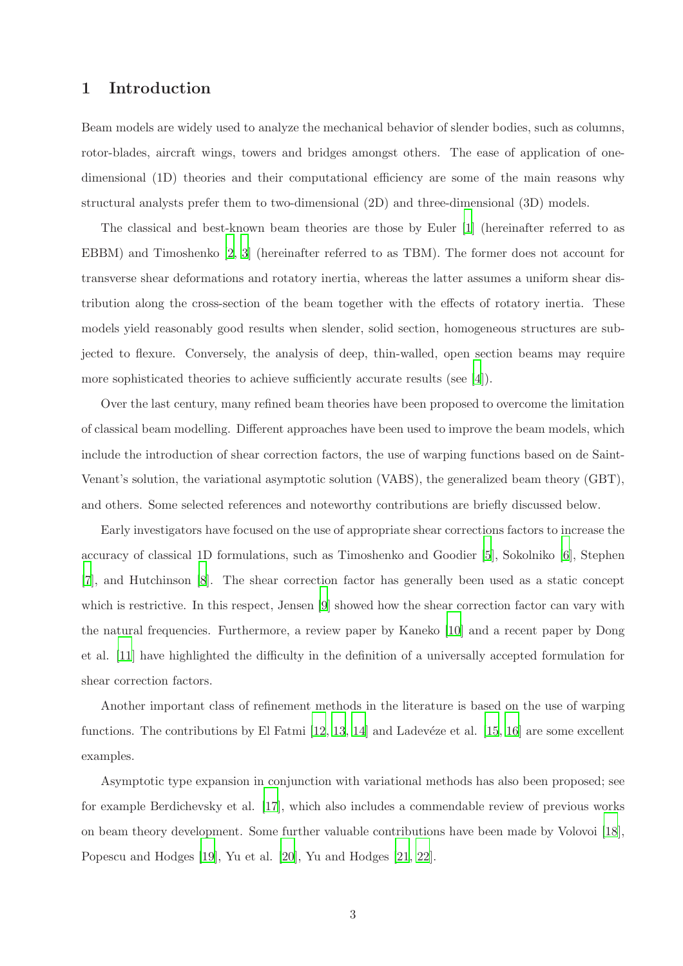### 1 Introduction

Beam models are widely used to analyze the mechanical behavior of slender bodies, such as columns, rotor-blades, aircraft wings, towers and bridges amongst others. The ease of application of onedimensional (1D) theories and their computational efficiency are some of the main reasons why structural analysts prefer them to two-dimensional (2D) and three-dimensional (3D) models.

The classical and best-known beam theories are those by Euler [1] (hereinafter referred to as EBBM) and Timoshenko [2, 3] (hereinafter referred to as TBM). The former does not account for transverse shear deformations and rotatory inertia, whereas the latter assumes a uniform shear distribution along the cross-section of the beam together with the effects of rotatory inertia. These models yield reasonably good results when slender, solid section, homogeneous structures are subjected to flexure. Conversely, the analysis of deep, thin-walled, open section beams may require more sophisticated theories to achieve sufficiently accurate results (see [4]).

Over the last century, many refined beam theories have been proposed to overcome the limitation of classical beam modelling. Different approaches have been used to improve the beam models, which include the introduction of shear correction factors, the use of warping functions based on de Saint-Venant's solution, the variational asymptotic solution (VABS), the generalized beam theory (GBT), and others. Some selected references and noteworthy contributions are briefly discussed below.

Early investigators have focused on the use of appropriate shear corrections factors to increase the accuracy of classical 1D formulations, such as Timoshenko and Goodier [5], Sokolniko [6], Stephen [7], and Hutchinson [8]. The shear correction factor has generally been used as a static concept which is restrictive. In this respect, Jensen [9] showed how the shear correction factor can vary with the natural frequencies. Furthermore, a review paper by Kaneko [10] and a recent paper by Dong et al. [11] have highlighted the difficulty in the definition of a universally accepted formulation for shear correction factors.

Another important class of refinement methods in the literature is based on the use of warping functions. The contributions by El Fatmi [12, 13, 14] and Ladevéze et al. [15, 16] are some excellent examples.

Asymptotic type expansion in conjunction with variational methods has also been proposed; see for example Berdichevsky et al. [17], which also includes a commendable review of previous works on beam theory development. Some further valuable contributions have been made by Volovoi [18], Popescu and Hodges [19], Yu et al. [20], Yu and Hodges [21, 22].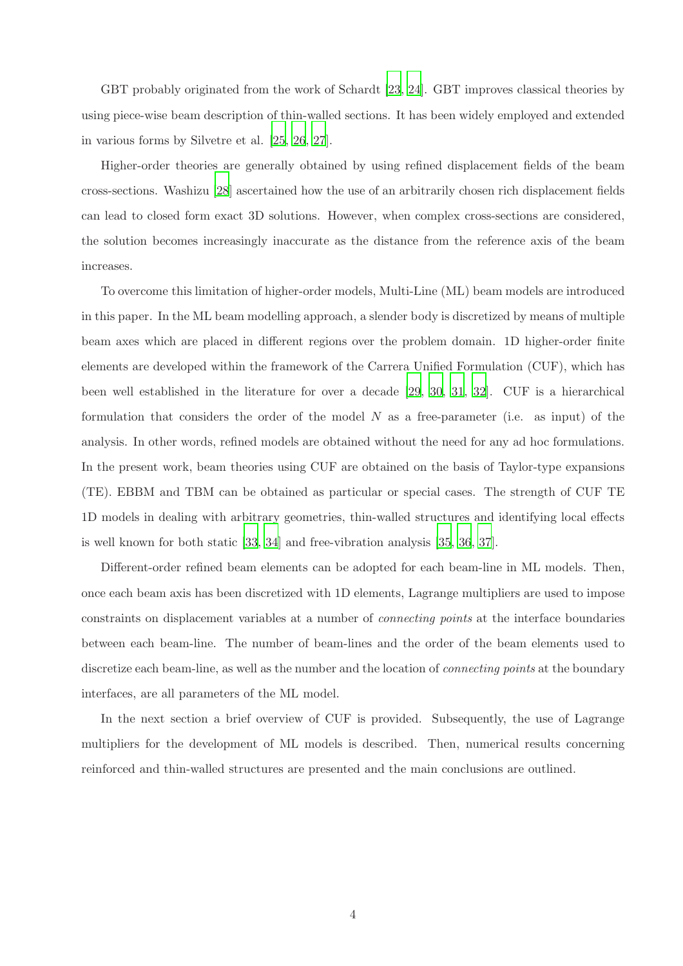GBT probably originated from the work of Schardt [23, 24]. GBT improves classical theories by using piece-wise beam description of thin-walled sections. It has been widely employed and extended in various forms by Silvetre et al. [25, 26, 27].

Higher-order theories are generally obtained by using refined displacement fields of the beam cross-sections. Washizu [28] ascertained how the use of an arbitrarily chosen rich displacement fields can lead to closed form exact 3D solutions. However, when complex cross-sections are considered, the solution becomes increasingly inaccurate as the distance from the reference axis of the beam increases.

To overcome this limitation of higher-order models, Multi-Line (ML) beam models are introduced in this paper. In the ML beam modelling approach, a slender body is discretized by means of multiple beam axes which are placed in different regions over the problem domain. 1D higher-order finite elements are developed within the framework of the Carrera Unified Formulation (CUF), which has been well established in the literature for over a decade [29, 30, 31, 32]. CUF is a hierarchical formulation that considers the order of the model  $N$  as a free-parameter (i.e. as input) of the analysis. In other words, refined models are obtained without the need for any ad hoc formulations. In the present work, beam theories using CUF are obtained on the basis of Taylor-type expansions (TE). EBBM and TBM can be obtained as particular or special cases. The strength of CUF TE 1D models in dealing with arbitrary geometries, thin-walled structures and identifying local effects is well known for both static [33, 34] and free-vibration analysis [35, 36, 37].

Different-order refined beam elements can be adopted for each beam-line in ML models. Then, once each beam axis has been discretized with 1D elements, Lagrange multipliers are used to impose constraints on displacement variables at a number of connecting points at the interface boundaries between each beam-line. The number of beam-lines and the order of the beam elements used to discretize each beam-line, as well as the number and the location of *connecting points* at the boundary interfaces, are all parameters of the ML model.

In the next section a brief overview of CUF is provided. Subsequently, the use of Lagrange multipliers for the development of ML models is described. Then, numerical results concerning reinforced and thin-walled structures are presented and the main conclusions are outlined.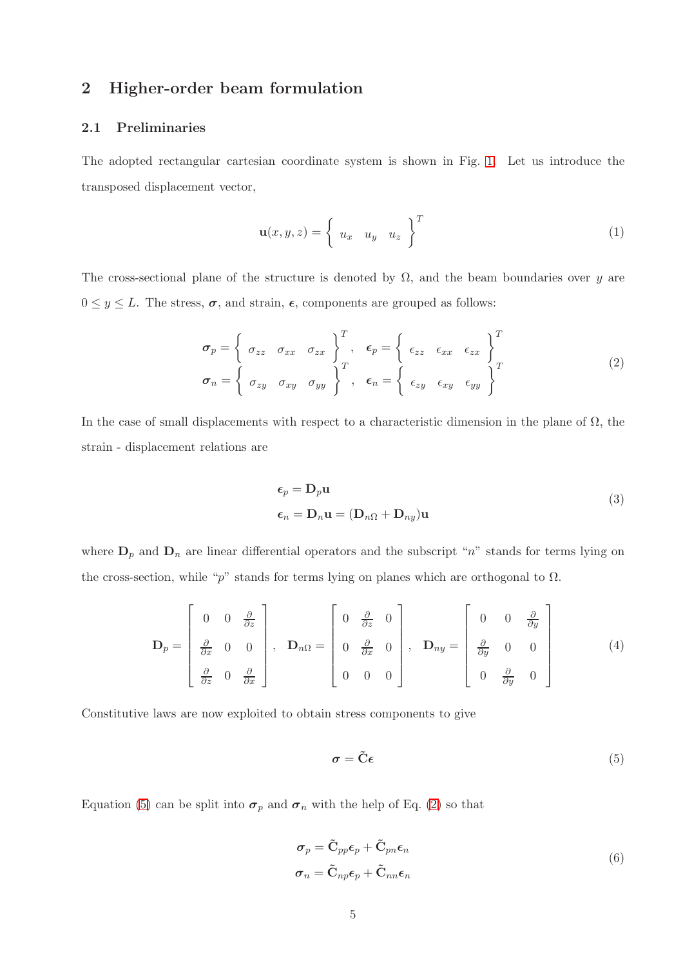# 2 Higher-order beam formulation

#### 2.1 Preliminaries

The adopted rectangular cartesian coordinate system is shown in Fig. 1. Let us introduce the transposed displacement vector,

$$
\mathbf{u}(x,y,z) = \begin{cases} u_x & u_y & u_z \end{cases}^T \tag{1}
$$

The cross-sectional plane of the structure is denoted by  $\Omega$ , and the beam boundaries over y are  $0 \leq y \leq L$ . The stress,  $\sigma$ , and strain,  $\epsilon$ , components are grouped as follows:

$$
\boldsymbol{\sigma}_{p} = \begin{cases} \sigma_{zz} & \sigma_{xx} & \sigma_{zx} \\ \sigma_{xy} & \sigma_{xy} & \sigma_{yy} \end{cases}, \quad \boldsymbol{\epsilon}_{p} = \begin{cases} \epsilon_{zz} & \epsilon_{xx} & \epsilon_{zx} \\ \epsilon_{zy} & \epsilon_{xy} & \epsilon_{yy} \end{cases} \begin{cases} T \\ T \end{cases}
$$
(2)

In the case of small displacements with respect to a characteristic dimension in the plane of  $\Omega$ , the strain - displacement relations are

$$
\epsilon_p = \mathbf{D}_p \mathbf{u}
$$
  
\n
$$
\epsilon_n = \mathbf{D}_n \mathbf{u} = (\mathbf{D}_{n\Omega} + \mathbf{D}_{ny}) \mathbf{u}
$$
\n(3)

where  $D_p$  and  $D_n$  are linear differential operators and the subscript "n" stands for terms lying on the cross-section, while " $p$ " stands for terms lying on planes which are orthogonal to  $\Omega$ .

$$
\mathbf{D}_{p} = \begin{bmatrix} 0 & 0 & \frac{\partial}{\partial z} \\ \frac{\partial}{\partial x} & 0 & 0 \\ \frac{\partial}{\partial z} & 0 & \frac{\partial}{\partial x} \end{bmatrix}, \quad \mathbf{D}_{n\Omega} = \begin{bmatrix} 0 & \frac{\partial}{\partial z} & 0 \\ 0 & \frac{\partial}{\partial x} & 0 \\ 0 & 0 & 0 \end{bmatrix}, \quad \mathbf{D}_{ny} = \begin{bmatrix} 0 & 0 & \frac{\partial}{\partial y} \\ \frac{\partial}{\partial y} & 0 & 0 \\ 0 & \frac{\partial}{\partial y} & 0 \end{bmatrix}
$$
(4)

Constitutive laws are now exploited to obtain stress components to give

$$
\sigma = \tilde{C}\epsilon \tag{5}
$$

Equation (5) can be split into  $\sigma_p$  and  $\sigma_n$  with the help of Eq. (2) so that

$$
\sigma_p = \tilde{C}_{pp}\epsilon_p + \tilde{C}_{pn}\epsilon_n
$$
  
\n
$$
\sigma_n = \tilde{C}_{np}\epsilon_p + \tilde{C}_{nn}\epsilon_n
$$
\n(6)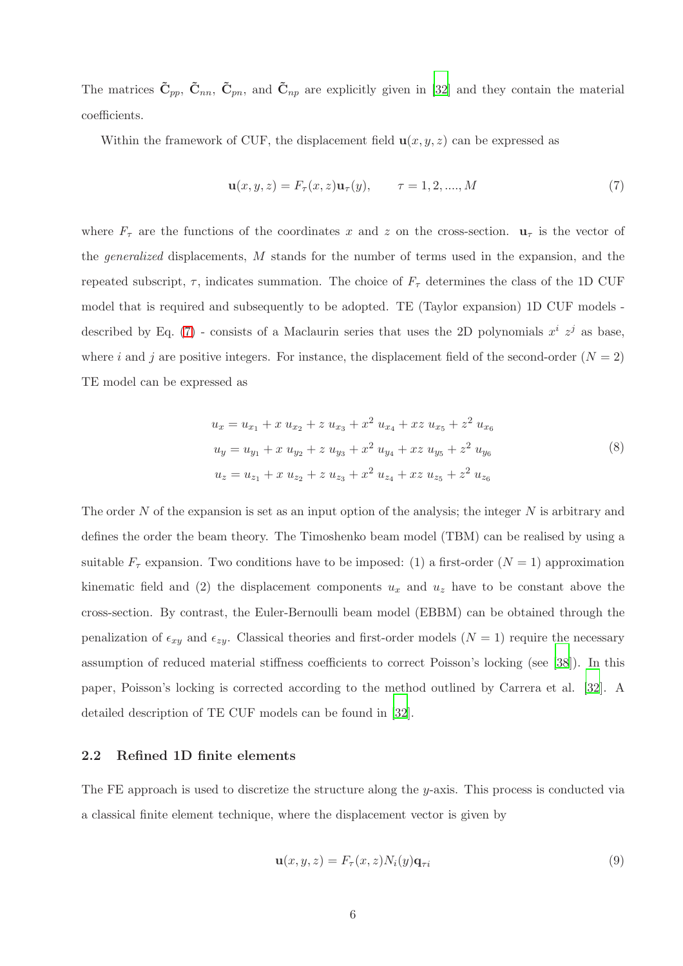The matrices  $\tilde{\mathbf{C}}_{pp}$ ,  $\tilde{\mathbf{C}}_{nn}$ ,  $\tilde{\mathbf{C}}_{pn}$ , and  $\tilde{\mathbf{C}}_{np}$  are explicitly given in [32] and they contain the material coefficients.

Within the framework of CUF, the displacement field  $\mathbf{u}(x, y, z)$  can be expressed as

$$
\mathbf{u}(x, y, z) = F_{\tau}(x, z)\mathbf{u}_{\tau}(y), \qquad \tau = 1, 2, \dots, M
$$
 (7)

where  $F_{\tau}$  are the functions of the coordinates x and z on the cross-section.  $\mathbf{u}_{\tau}$  is the vector of the generalized displacements, M stands for the number of terms used in the expansion, and the repeated subscript,  $\tau$ , indicates summation. The choice of  $F_{\tau}$  determines the class of the 1D CUF model that is required and subsequently to be adopted. TE (Taylor expansion) 1D CUF models described by Eq. (7) - consists of a Maclaurin series that uses the 2D polynomials  $x^i z^j$  as base, where i and j are positive integers. For instance, the displacement field of the second-order  $(N = 2)$ TE model can be expressed as

$$
u_x = u_{x_1} + x u_{x_2} + z u_{x_3} + x^2 u_{x_4} + xz u_{x_5} + z^2 u_{x_6}
$$
  
\n
$$
u_y = u_{y_1} + x u_{y_2} + z u_{y_3} + x^2 u_{y_4} + xz u_{y_5} + z^2 u_{y_6}
$$
  
\n
$$
u_z = u_{z_1} + x u_{z_2} + z u_{z_3} + x^2 u_{z_4} + xz u_{z_5} + z^2 u_{z_6}
$$
\n(8)

The order  $N$  of the expansion is set as an input option of the analysis; the integer  $N$  is arbitrary and defines the order the beam theory. The Timoshenko beam model (TBM) can be realised by using a suitable  $F_{\tau}$  expansion. Two conditions have to be imposed: (1) a first-order  $(N = 1)$  approximation kinematic field and (2) the displacement components  $u_x$  and  $u_z$  have to be constant above the cross-section. By contrast, the Euler-Bernoulli beam model (EBBM) can be obtained through the penalization of  $\epsilon_{xy}$  and  $\epsilon_{zy}$ . Classical theories and first-order models  $(N = 1)$  require the necessary assumption of reduced material stiffness coefficients to correct Poisson's locking (see [38]). In this paper, Poisson's locking is corrected according to the method outlined by Carrera et al. [32]. A detailed description of TE CUF models can be found in [32].

#### 2.2 Refined 1D finite elements

The FE approach is used to discretize the structure along the y-axis. This process is conducted via a classical finite element technique, where the displacement vector is given by

$$
\mathbf{u}(x, y, z) = F_{\tau}(x, z) N_i(y) \mathbf{q}_{\tau i}
$$
\n(9)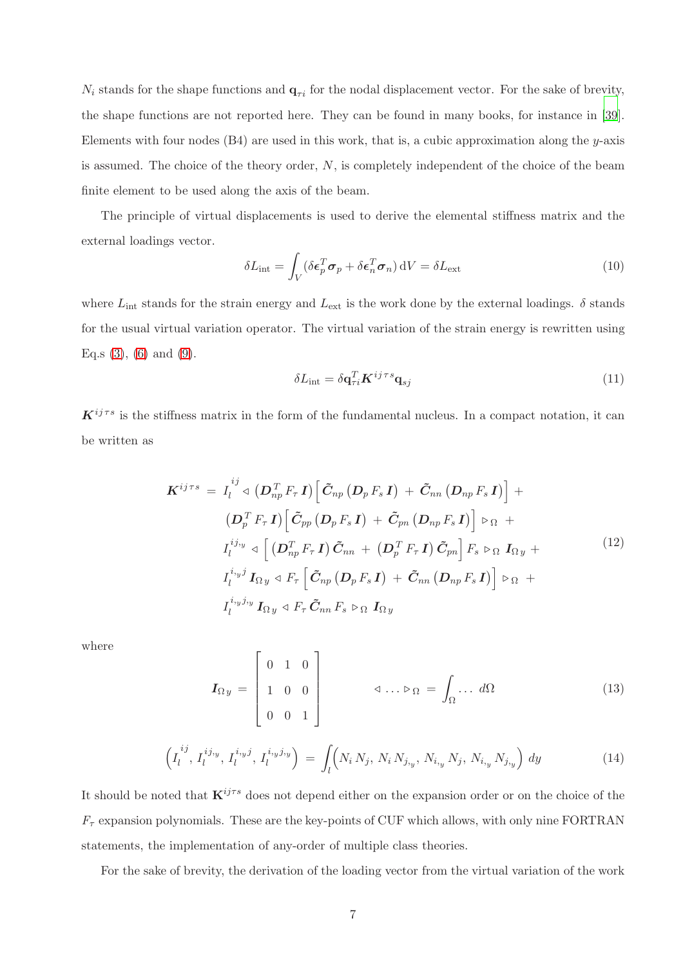$N_i$  stands for the shape functions and  $q_{\tau i}$  for the nodal displacement vector. For the sake of brevity, the shape functions are not reported here. They can be found in many books, for instance in [39]. Elements with four nodes  $(B4)$  are used in this work, that is, a cubic approximation along the y-axis is assumed. The choice of the theory order,  $N$ , is completely independent of the choice of the beam finite element to be used along the axis of the beam.

The principle of virtual displacements is used to derive the elemental stiffness matrix and the external loadings vector.

$$
\delta L_{\rm int} = \int_{V} (\delta \epsilon_p^T \sigma_p + \delta \epsilon_n^T \sigma_n) \, \mathrm{d}V = \delta L_{\rm ext} \tag{10}
$$

where  $L_{\text{int}}$  stands for the strain energy and  $L_{\text{ext}}$  is the work done by the external loadings.  $\delta$  stands for the usual virtual variation operator. The virtual variation of the strain energy is rewritten using Eq.s  $(3)$ ,  $(6)$  and  $(9)$ .

$$
\delta L_{\text{int}} = \delta \mathbf{q}_{\tau i}^T \mathbf{K}^{ij\tau s} \mathbf{q}_{sj} \tag{11}
$$

 $K^{ij\tau s}$  is the stiffness matrix in the form of the fundamental nucleus. In a compact notation, it can be written as

$$
\boldsymbol{K}^{ij\tau s} = I_{l}^{ij} \triangleleft (\boldsymbol{D}_{np}^{T} F_{\tau} \boldsymbol{I}) \Big[ \tilde{\boldsymbol{C}}_{np} \left( \boldsymbol{D}_{p} F_{s} \boldsymbol{I} \right) + \tilde{\boldsymbol{C}}_{nn} \left( \boldsymbol{D}_{np} F_{s} \boldsymbol{I} \right) \Big] + \n\left( \boldsymbol{D}_{p}^{T} F_{\tau} \boldsymbol{I} \right) \Big[ \tilde{\boldsymbol{C}}_{pp} \left( \boldsymbol{D}_{p} F_{s} \boldsymbol{I} \right) + \tilde{\boldsymbol{C}}_{pn} \left( \boldsymbol{D}_{np} F_{s} \boldsymbol{I} \right) \Big] \triangleright \Omega + \nI_{l}^{ij,y} \triangleleft \Big[ \left( \boldsymbol{D}_{np}^{T} F_{\tau} \boldsymbol{I} \right) \tilde{\boldsymbol{C}}_{nn} + \left( \boldsymbol{D}_{p}^{T} F_{\tau} \boldsymbol{I} \right) \tilde{\boldsymbol{C}}_{pn} \Big] F_{s} \triangleright \Omega \boldsymbol{I}_{\Omega y} + \nI_{l}^{i,yj} \boldsymbol{I}_{\Omega y} \triangleleft F_{\tau} \Big[ \tilde{\boldsymbol{C}}_{np} \left( \boldsymbol{D}_{p} F_{s} \boldsymbol{I} \right) + \tilde{\boldsymbol{C}}_{nn} \left( \boldsymbol{D}_{np} F_{s} \boldsymbol{I} \right) \Big] \triangleright \Omega + \nI_{l}^{i,yj,y} \boldsymbol{I}_{\Omega y} \triangleleft F_{\tau} \tilde{\boldsymbol{C}}_{nn} F_{s} \triangleright \Omega \boldsymbol{I}_{\Omega y} \end{aligned}
$$
\n(12)

where

$$
\boldsymbol{I}_{\Omega y} = \begin{bmatrix} 0 & 1 & 0 \\ 1 & 0 & 0 \\ 0 & 0 & 1 \end{bmatrix} \qquad \qquad \triangleleft \dots \triangleright \Omega = \int_{\Omega} \dots \, d\Omega \tag{13}
$$

$$
\left(I_l^{ij}, I_l^{ij,y}, I_l^{i,yj}, I_l^{i,yj,y}\right) = \int_l \left(N_i N_j, N_i N_{j,y}, N_{i,y} N_j, N_{i,y} N_{j,y}\right) dy
$$
\n(14)

It should be noted that  $\mathbf{K}^{ij\tau s}$  does not depend either on the expansion order or on the choice of the  $F_{\tau}$  expansion polynomials. These are the key-points of CUF which allows, with only nine FORTRAN statements, the implementation of any-order of multiple class theories.

For the sake of brevity, the derivation of the loading vector from the virtual variation of the work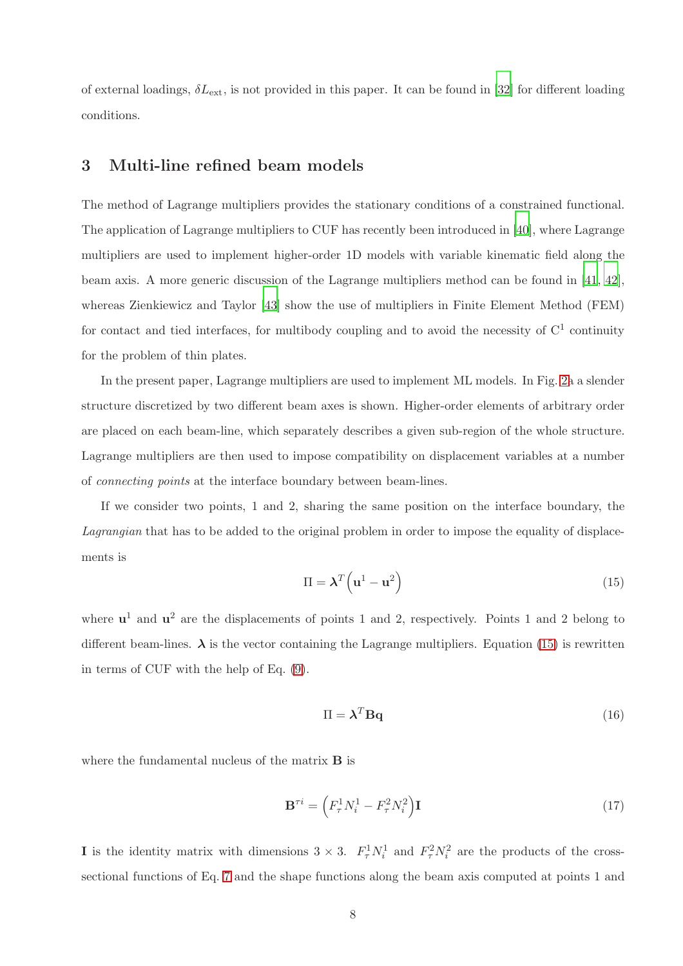of external loadings,  $\delta L_{\text{ext}}$ , is not provided in this paper. It can be found in [32] for different loading conditions.

### 3 Multi-line refined beam models

The method of Lagrange multipliers provides the stationary conditions of a constrained functional. The application of Lagrange multipliers to CUF has recently been introduced in [40], where Lagrange multipliers are used to implement higher-order 1D models with variable kinematic field along the beam axis. A more generic discussion of the Lagrange multipliers method can be found in [41, 42], whereas Zienkiewicz and Taylor [43] show the use of multipliers in Finite Element Method (FEM) for contact and tied interfaces, for multibody coupling and to avoid the necessity of  $C^1$  continuity for the problem of thin plates.

In the present paper, Lagrange multipliers are used to implement ML models. In Fig. 2a a slender structure discretized by two different beam axes is shown. Higher-order elements of arbitrary order are placed on each beam-line, which separately describes a given sub-region of the whole structure. Lagrange multipliers are then used to impose compatibility on displacement variables at a number of connecting points at the interface boundary between beam-lines.

If we consider two points, 1 and 2, sharing the same position on the interface boundary, the Lagrangian that has to be added to the original problem in order to impose the equality of displacements is

$$
\Pi = \boldsymbol{\lambda}^T \left( \mathbf{u}^1 - \mathbf{u}^2 \right) \tag{15}
$$

where  $\mathbf{u}^1$  and  $\mathbf{u}^2$  are the displacements of points 1 and 2, respectively. Points 1 and 2 belong to different beam-lines.  $\lambda$  is the vector containing the Lagrange multipliers. Equation (15) is rewritten in terms of CUF with the help of Eq. (9).

$$
\Pi = \boldsymbol{\lambda}^T \mathbf{B} \mathbf{q} \tag{16}
$$

where the fundamental nucleus of the matrix B is

$$
\mathbf{B}^{\tau i} = \left( F_{\tau}^1 N_i^1 - F_{\tau}^2 N_i^2 \right) \mathbf{I} \tag{17}
$$

I is the identity matrix with dimensions  $3 \times 3$ .  $F_{\tau}^1 N_i^1$  and  $F_{\tau}^2 N_i^2$  are the products of the crosssectional functions of Eq. 7 and the shape functions along the beam axis computed at points 1 and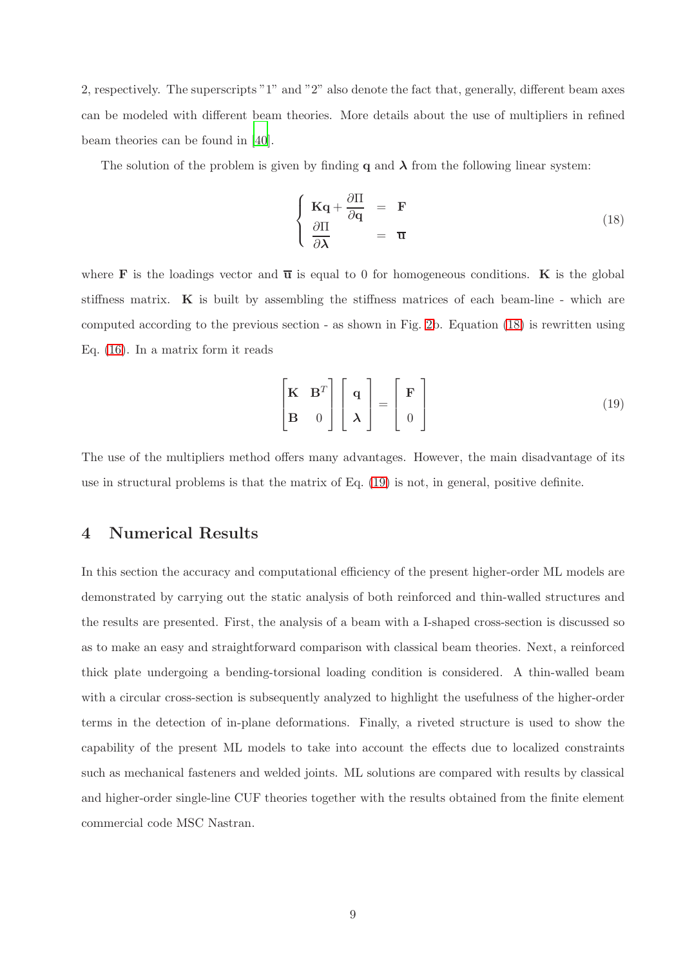2, respectively. The superscripts "1" and "2" also denote the fact that, generally, different beam axes can be modeled with different beam theories. More details about the use of multipliers in refined beam theories can be found in [40].

The solution of the problem is given by finding q and  $\lambda$  from the following linear system:

$$
\begin{cases}\n\mathbf{Kq} + \frac{\partial \Pi}{\partial \mathbf{q}} = \mathbf{F} \\
\frac{\partial \Pi}{\partial \lambda} = \overline{\mathbf{u}}\n\end{cases}
$$
\n(18)

where **F** is the loadings vector and  $\overline{u}$  is equal to 0 for homogeneous conditions. K is the global stiffness matrix.  $\bf{K}$  is built by assembling the stiffness matrices of each beam-line - which are computed according to the previous section - as shown in Fig. 2b. Equation (18) is rewritten using Eq. (16). In a matrix form it reads

$$
\begin{bmatrix} \mathbf{K} & \mathbf{B}^T \\ \mathbf{B} & 0 \end{bmatrix} \begin{bmatrix} \mathbf{q} \\ \mathbf{\lambda} \end{bmatrix} = \begin{bmatrix} \mathbf{F} \\ 0 \end{bmatrix}
$$
 (19)

The use of the multipliers method offers many advantages. However, the main disadvantage of its use in structural problems is that the matrix of Eq. (19) is not, in general, positive definite.

## 4 Numerical Results

In this section the accuracy and computational efficiency of the present higher-order ML models are demonstrated by carrying out the static analysis of both reinforced and thin-walled structures and the results are presented. First, the analysis of a beam with a I-shaped cross-section is discussed so as to make an easy and straightforward comparison with classical beam theories. Next, a reinforced thick plate undergoing a bending-torsional loading condition is considered. A thin-walled beam with a circular cross-section is subsequently analyzed to highlight the usefulness of the higher-order terms in the detection of in-plane deformations. Finally, a riveted structure is used to show the capability of the present ML models to take into account the effects due to localized constraints such as mechanical fasteners and welded joints. ML solutions are compared with results by classical and higher-order single-line CUF theories together with the results obtained from the finite element commercial code MSC Nastran.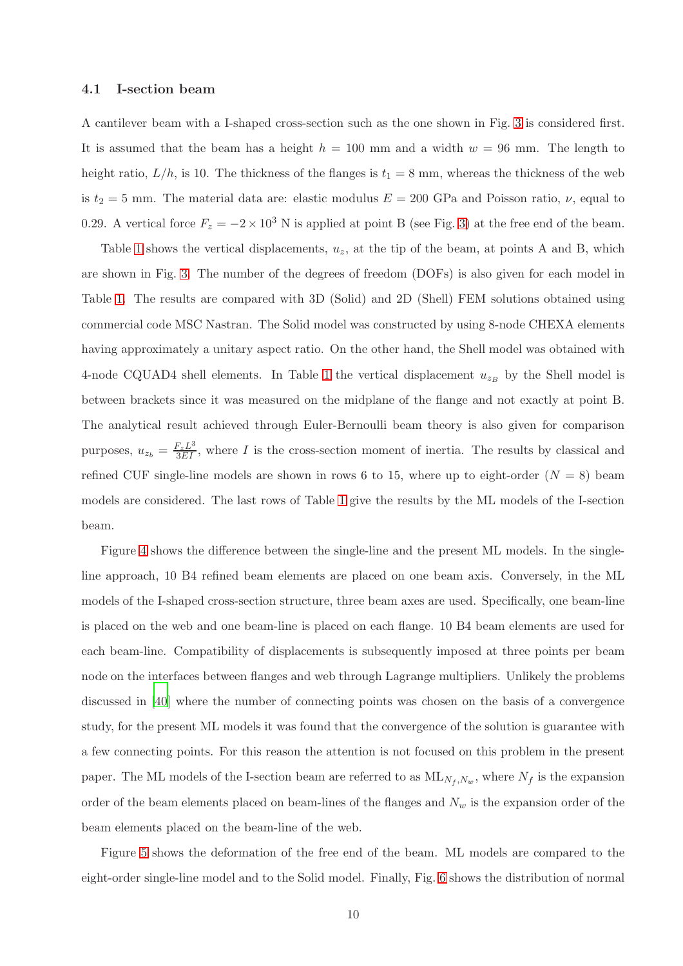#### 4.1 I-section beam

A cantilever beam with a I-shaped cross-section such as the one shown in Fig. 3 is considered first. It is assumed that the beam has a height  $h = 100$  mm and a width  $w = 96$  mm. The length to height ratio,  $L/h$ , is 10. The thickness of the flanges is  $t_1 = 8$  mm, whereas the thickness of the web is  $t_2 = 5$  mm. The material data are: elastic modulus  $E = 200$  GPa and Poisson ratio,  $\nu$ , equal to 0.29. A vertical force  $F_z = -2 \times 10^3$  N is applied at point B (see Fig. 3) at the free end of the beam.

Table 1 shows the vertical displacements,  $u_z$ , at the tip of the beam, at points A and B, which are shown in Fig. 3. The number of the degrees of freedom (DOFs) is also given for each model in Table 1. The results are compared with 3D (Solid) and 2D (Shell) FEM solutions obtained using commercial code MSC Nastran. The Solid model was constructed by using 8-node CHEXA elements having approximately a unitary aspect ratio. On the other hand, the Shell model was obtained with 4-node CQUAD4 shell elements. In Table 1 the vertical displacement  $u_{z_B}$  by the Shell model is between brackets since it was measured on the midplane of the flange and not exactly at point B. The analytical result achieved through Euler-Bernoulli beam theory is also given for comparison purposes,  $u_{z_b} = \frac{F_z L^3}{3EI}$ , where I is the cross-section moment of inertia. The results by classical and refined CUF single-line models are shown in rows 6 to 15, where up to eight-order  $(N = 8)$  beam models are considered. The last rows of Table 1 give the results by the ML models of the I-section beam.

Figure 4 shows the difference between the single-line and the present ML models. In the singleline approach, 10 B4 refined beam elements are placed on one beam axis. Conversely, in the ML models of the I-shaped cross-section structure, three beam axes are used. Specifically, one beam-line is placed on the web and one beam-line is placed on each flange. 10 B4 beam elements are used for each beam-line. Compatibility of displacements is subsequently imposed at three points per beam node on the interfaces between flanges and web through Lagrange multipliers. Unlikely the problems discussed in [40] where the number of connecting points was chosen on the basis of a convergence study, for the present ML models it was found that the convergence of the solution is guarantee with a few connecting points. For this reason the attention is not focused on this problem in the present paper. The ML models of the I-section beam are referred to as  $ML_{N_f, N_w}$ , where  $N_f$  is the expansion order of the beam elements placed on beam-lines of the flanges and  $N_w$  is the expansion order of the beam elements placed on the beam-line of the web.

Figure 5 shows the deformation of the free end of the beam. ML models are compared to the eight-order single-line model and to the Solid model. Finally, Fig. 6 shows the distribution of normal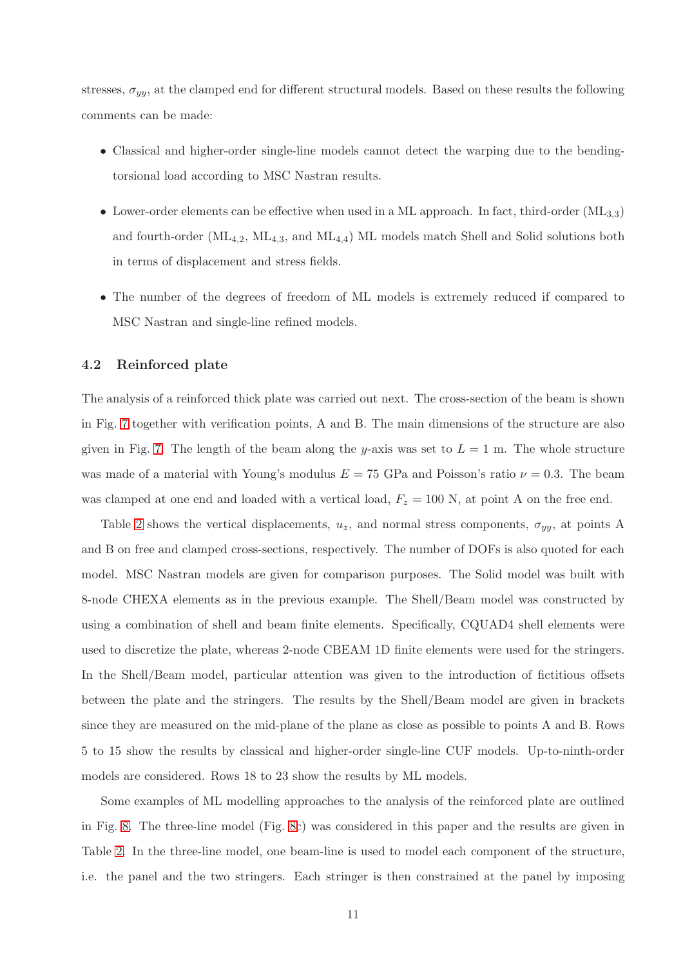stresses,  $\sigma_{yy}$ , at the clamped end for different structural models. Based on these results the following comments can be made:

- Classical and higher-order single-line models cannot detect the warping due to the bendingtorsional load according to MSC Nastran results.
- Lower-order elements can be effective when used in a ML approach. In fact, third-order  $(ML_{3,3})$ and fourth-order ( $ML_{4,2}$ ,  $ML_{4,3}$ , and  $ML_{4,4}$ ) ML models match Shell and Solid solutions both in terms of displacement and stress fields.
- The number of the degrees of freedom of ML models is extremely reduced if compared to MSC Nastran and single-line refined models.

#### 4.2 Reinforced plate

The analysis of a reinforced thick plate was carried out next. The cross-section of the beam is shown in Fig. 7 together with verification points, A and B. The main dimensions of the structure are also given in Fig. 7. The length of the beam along the y-axis was set to  $L = 1$  m. The whole structure was made of a material with Young's modulus  $E = 75$  GPa and Poisson's ratio  $\nu = 0.3$ . The beam was clamped at one end and loaded with a vertical load,  $F_z = 100$  N, at point A on the free end.

Table 2 shows the vertical displacements,  $u_z$ , and normal stress components,  $\sigma_{yy}$ , at points A and B on free and clamped cross-sections, respectively. The number of DOFs is also quoted for each model. MSC Nastran models are given for comparison purposes. The Solid model was built with 8-node CHEXA elements as in the previous example. The Shell/Beam model was constructed by using a combination of shell and beam finite elements. Specifically, CQUAD4 shell elements were used to discretize the plate, whereas 2-node CBEAM 1D finite elements were used for the stringers. In the Shell/Beam model, particular attention was given to the introduction of fictitious offsets between the plate and the stringers. The results by the Shell/Beam model are given in brackets since they are measured on the mid-plane of the plane as close as possible to points A and B. Rows 5 to 15 show the results by classical and higher-order single-line CUF models. Up-to-ninth-order models are considered. Rows 18 to 23 show the results by ML models.

Some examples of ML modelling approaches to the analysis of the reinforced plate are outlined in Fig. 8. The three-line model (Fig. 8c) was considered in this paper and the results are given in Table 2. In the three-line model, one beam-line is used to model each component of the structure, i.e. the panel and the two stringers. Each stringer is then constrained at the panel by imposing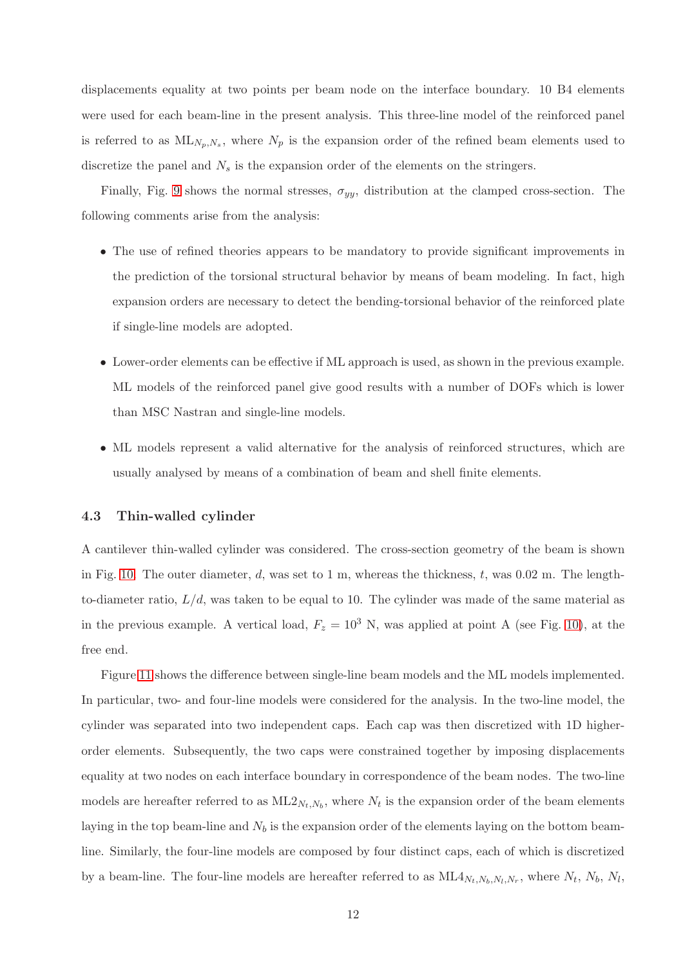displacements equality at two points per beam node on the interface boundary. 10 B4 elements were used for each beam-line in the present analysis. This three-line model of the reinforced panel is referred to as  $ML_{N_p,N_s}$ , where  $N_p$  is the expansion order of the refined beam elements used to discretize the panel and  $N<sub>s</sub>$  is the expansion order of the elements on the stringers.

Finally, Fig. 9 shows the normal stresses,  $\sigma_{yy}$ , distribution at the clamped cross-section. The following comments arise from the analysis:

- The use of refined theories appears to be mandatory to provide significant improvements in the prediction of the torsional structural behavior by means of beam modeling. In fact, high expansion orders are necessary to detect the bending-torsional behavior of the reinforced plate if single-line models are adopted.
- Lower-order elements can be effective if ML approach is used, as shown in the previous example. ML models of the reinforced panel give good results with a number of DOFs which is lower than MSC Nastran and single-line models.
- ML models represent a valid alternative for the analysis of reinforced structures, which are usually analysed by means of a combination of beam and shell finite elements.

#### 4.3 Thin-walled cylinder

A cantilever thin-walled cylinder was considered. The cross-section geometry of the beam is shown in Fig. 10. The outer diameter, d, was set to 1 m, whereas the thickness, t, was  $0.02$  m. The lengthto-diameter ratio,  $L/d$ , was taken to be equal to 10. The cylinder was made of the same material as in the previous example. A vertical load,  $F_z = 10^3$  N, was applied at point A (see Fig. 10), at the free end.

Figure 11 shows the difference between single-line beam models and the ML models implemented. In particular, two- and four-line models were considered for the analysis. In the two-line model, the cylinder was separated into two independent caps. Each cap was then discretized with 1D higherorder elements. Subsequently, the two caps were constrained together by imposing displacements equality at two nodes on each interface boundary in correspondence of the beam nodes. The two-line models are hereafter referred to as  $ML2_{N_t,N_b}$ , where  $N_t$  is the expansion order of the beam elements laying in the top beam-line and  $N_b$  is the expansion order of the elements laying on the bottom beamline. Similarly, the four-line models are composed by four distinct caps, each of which is discretized by a beam-line. The four-line models are hereafter referred to as  $ML4_{N_t,N_b,N_l,N_r}$ , where  $N_t, N_b, N_l,$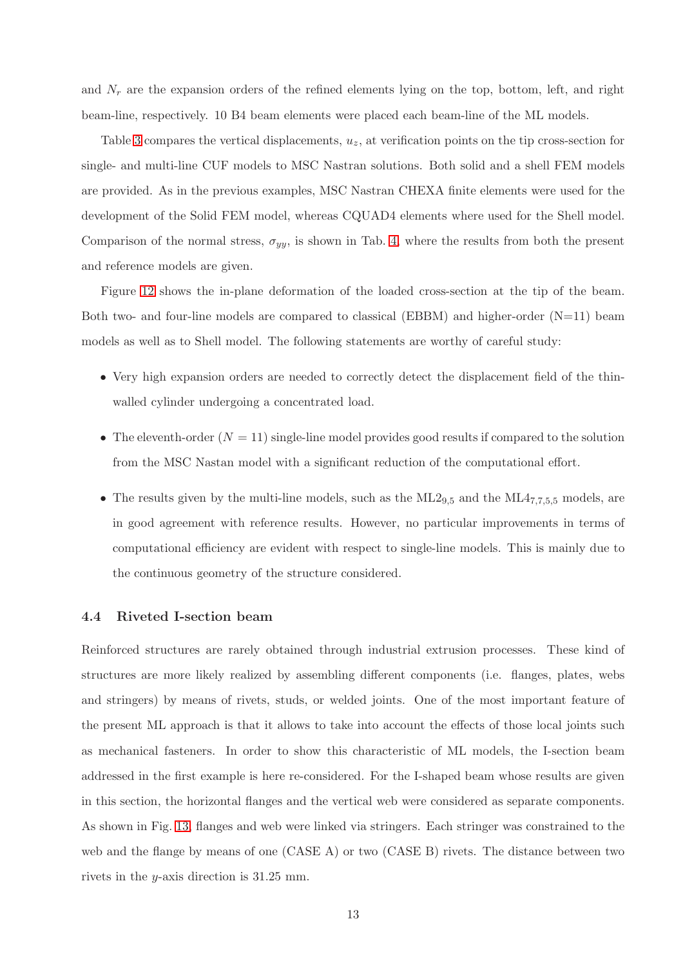and  $N_r$  are the expansion orders of the refined elements lying on the top, bottom, left, and right beam-line, respectively. 10 B4 beam elements were placed each beam-line of the ML models.

Table 3 compares the vertical displacements,  $u_z$ , at verification points on the tip cross-section for single- and multi-line CUF models to MSC Nastran solutions. Both solid and a shell FEM models are provided. As in the previous examples, MSC Nastran CHEXA finite elements were used for the development of the Solid FEM model, whereas CQUAD4 elements where used for the Shell model. Comparison of the normal stress,  $\sigma_{yy}$ , is shown in Tab. 4, where the results from both the present and reference models are given.

Figure 12 shows the in-plane deformation of the loaded cross-section at the tip of the beam. Both two- and four-line models are compared to classical (EBBM) and higher-order (N=11) beam models as well as to Shell model. The following statements are worthy of careful study:

- Very high expansion orders are needed to correctly detect the displacement field of the thinwalled cylinder undergoing a concentrated load.
- The eleventh-order  $(N = 11)$  single-line model provides good results if compared to the solution from the MSC Nastan model with a significant reduction of the computational effort.
- The results given by the multi-line models, such as the  $ML2_{9,5}$  and the  $ML4_{7,7,5,5}$  models, are in good agreement with reference results. However, no particular improvements in terms of computational efficiency are evident with respect to single-line models. This is mainly due to the continuous geometry of the structure considered.

#### 4.4 Riveted I-section beam

Reinforced structures are rarely obtained through industrial extrusion processes. These kind of structures are more likely realized by assembling different components (i.e. flanges, plates, webs and stringers) by means of rivets, studs, or welded joints. One of the most important feature of the present ML approach is that it allows to take into account the effects of those local joints such as mechanical fasteners. In order to show this characteristic of ML models, the I-section beam addressed in the first example is here re-considered. For the I-shaped beam whose results are given in this section, the horizontal flanges and the vertical web were considered as separate components. As shown in Fig. 13, flanges and web were linked via stringers. Each stringer was constrained to the web and the flange by means of one (CASE A) or two (CASE B) rivets. The distance between two rivets in the y-axis direction is 31.25 mm.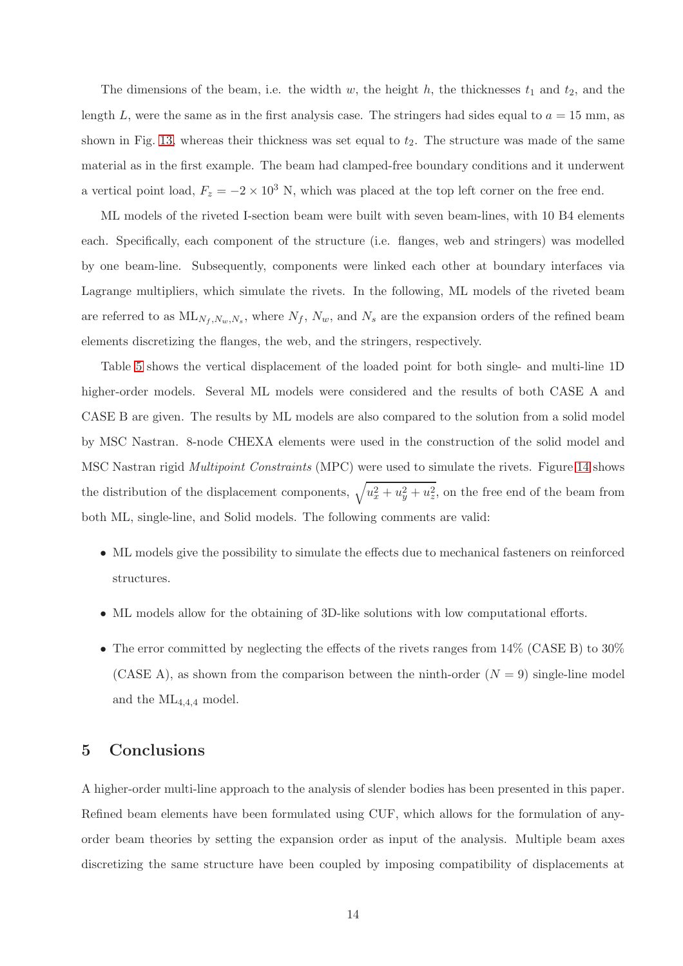The dimensions of the beam, i.e. the width w, the height h, the thicknesses  $t_1$  and  $t_2$ , and the length L, were the same as in the first analysis case. The stringers had sides equal to  $a = 15$  mm, as shown in Fig. 13, whereas their thickness was set equal to  $t_2$ . The structure was made of the same material as in the first example. The beam had clamped-free boundary conditions and it underwent a vertical point load,  $F_z = -2 \times 10^3$  N, which was placed at the top left corner on the free end.

ML models of the riveted I-section beam were built with seven beam-lines, with 10 B4 elements each. Specifically, each component of the structure (i.e. flanges, web and stringers) was modelled by one beam-line. Subsequently, components were linked each other at boundary interfaces via Lagrange multipliers, which simulate the rivets. In the following, ML models of the riveted beam are referred to as  $ML_{N_f, N_w, N_s}$ , where  $N_f$ ,  $N_w$ , and  $N_s$  are the expansion orders of the refined beam elements discretizing the flanges, the web, and the stringers, respectively.

Table 5 shows the vertical displacement of the loaded point for both single- and multi-line 1D higher-order models. Several ML models were considered and the results of both CASE A and CASE B are given. The results by ML models are also compared to the solution from a solid model by MSC Nastran. 8-node CHEXA elements were used in the construction of the solid model and MSC Nastran rigid Multipoint Constraints (MPC) were used to simulate the rivets. Figure 14 shows the distribution of the displacement components,  $\sqrt{u_x^2 + u_y^2 + u_z^2}$ , on the free end of the beam from both ML, single-line, and Solid models. The following comments are valid:

- ML models give the possibility to simulate the effects due to mechanical fasteners on reinforced structures.
- ML models allow for the obtaining of 3D-like solutions with low computational efforts.
- The error committed by neglecting the effects of the rivets ranges from  $14\%$  (CASE B) to  $30\%$ (CASE A), as shown from the comparison between the ninth-order  $(N = 9)$  single-line model and the  $ML_{4,4,4}$  model.

### 5 Conclusions

A higher-order multi-line approach to the analysis of slender bodies has been presented in this paper. Refined beam elements have been formulated using CUF, which allows for the formulation of anyorder beam theories by setting the expansion order as input of the analysis. Multiple beam axes discretizing the same structure have been coupled by imposing compatibility of displacements at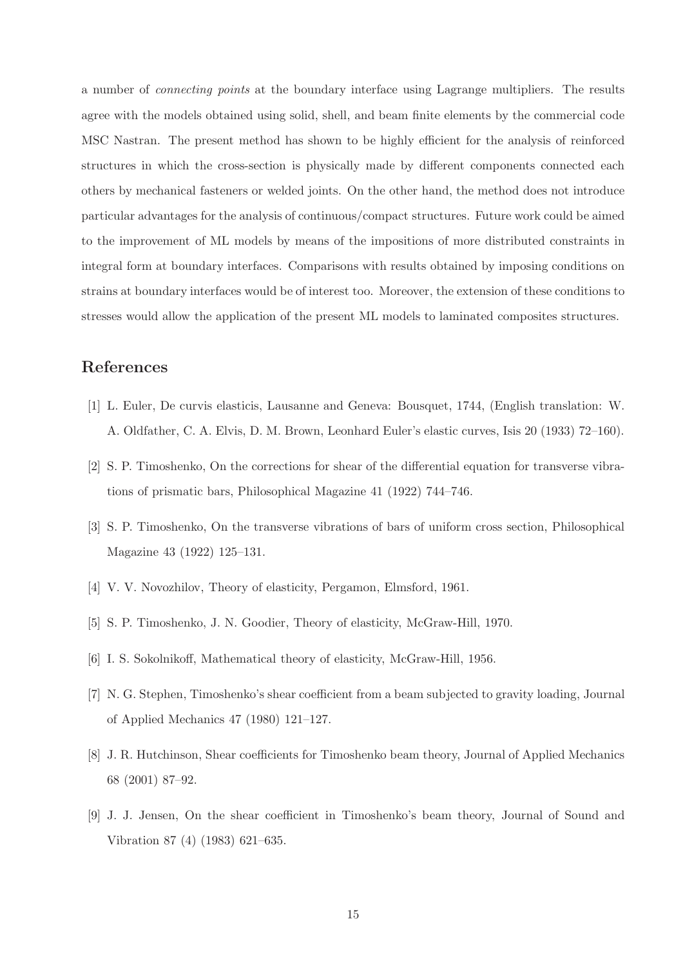a number of connecting points at the boundary interface using Lagrange multipliers. The results agree with the models obtained using solid, shell, and beam finite elements by the commercial code MSC Nastran. The present method has shown to be highly efficient for the analysis of reinforced structures in which the cross-section is physically made by different components connected each others by mechanical fasteners or welded joints. On the other hand, the method does not introduce particular advantages for the analysis of continuous/compact structures. Future work could be aimed to the improvement of ML models by means of the impositions of more distributed constraints in integral form at boundary interfaces. Comparisons with results obtained by imposing conditions on strains at boundary interfaces would be of interest too. Moreover, the extension of these conditions to stresses would allow the application of the present ML models to laminated composites structures.

## References

- [1] L. Euler, De curvis elasticis, Lausanne and Geneva: Bousquet, 1744, (English translation: W. A. Oldfather, C. A. Elvis, D. M. Brown, Leonhard Euler's elastic curves, Isis 20 (1933) 72–160).
- [2] S. P. Timoshenko, On the corrections for shear of the differential equation for transverse vibrations of prismatic bars, Philosophical Magazine 41 (1922) 744–746.
- [3] S. P. Timoshenko, On the transverse vibrations of bars of uniform cross section, Philosophical Magazine 43 (1922) 125–131.
- [4] V. V. Novozhilov, Theory of elasticity, Pergamon, Elmsford, 1961.
- [5] S. P. Timoshenko, J. N. Goodier, Theory of elasticity, McGraw-Hill, 1970.
- [6] I. S. Sokolnikoff, Mathematical theory of elasticity, McGraw-Hill, 1956.
- [7] N. G. Stephen, Timoshenko's shear coefficient from a beam subjected to gravity loading, Journal of Applied Mechanics 47 (1980) 121–127.
- [8] J. R. Hutchinson, Shear coefficients for Timoshenko beam theory, Journal of Applied Mechanics 68 (2001) 87–92.
- [9] J. J. Jensen, On the shear coefficient in Timoshenko's beam theory, Journal of Sound and Vibration 87 (4) (1983) 621–635.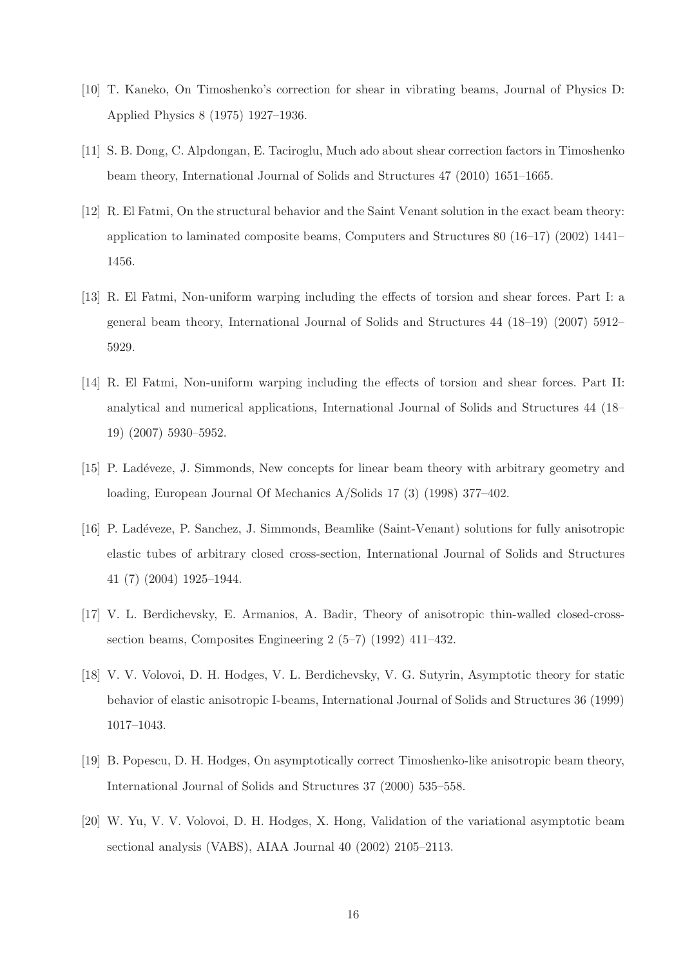- [10] T. Kaneko, On Timoshenko's correction for shear in vibrating beams, Journal of Physics D: Applied Physics 8 (1975) 1927–1936.
- [11] S. B. Dong, C. Alpdongan, E. Taciroglu, Much ado about shear correction factors in Timoshenko beam theory, International Journal of Solids and Structures 47 (2010) 1651–1665.
- [12] R. El Fatmi, On the structural behavior and the Saint Venant solution in the exact beam theory: application to laminated composite beams, Computers and Structures 80 (16–17) (2002) 1441– 1456.
- [13] R. El Fatmi, Non-uniform warping including the effects of torsion and shear forces. Part I: a general beam theory, International Journal of Solids and Structures 44 (18–19) (2007) 5912– 5929.
- [14] R. El Fatmi, Non-uniform warping including the effects of torsion and shear forces. Part II: analytical and numerical applications, International Journal of Solids and Structures 44 (18– 19) (2007) 5930–5952.
- [15] P. Ladéveze, J. Simmonds, New concepts for linear beam theory with arbitrary geometry and loading, European Journal Of Mechanics A/Solids 17 (3) (1998) 377–402.
- [16] P. Ladéveze, P. Sanchez, J. Simmonds, Beamlike (Saint-Venant) solutions for fully anisotropic elastic tubes of arbitrary closed cross-section, International Journal of Solids and Structures 41 (7) (2004) 1925–1944.
- [17] V. L. Berdichevsky, E. Armanios, A. Badir, Theory of anisotropic thin-walled closed-crosssection beams, Composites Engineering 2 (5–7) (1992) 411–432.
- [18] V. V. Volovoi, D. H. Hodges, V. L. Berdichevsky, V. G. Sutyrin, Asymptotic theory for static behavior of elastic anisotropic I-beams, International Journal of Solids and Structures 36 (1999) 1017–1043.
- [19] B. Popescu, D. H. Hodges, On asymptotically correct Timoshenko-like anisotropic beam theory, International Journal of Solids and Structures 37 (2000) 535–558.
- [20] W. Yu, V. V. Volovoi, D. H. Hodges, X. Hong, Validation of the variational asymptotic beam sectional analysis (VABS), AIAA Journal 40 (2002) 2105–2113.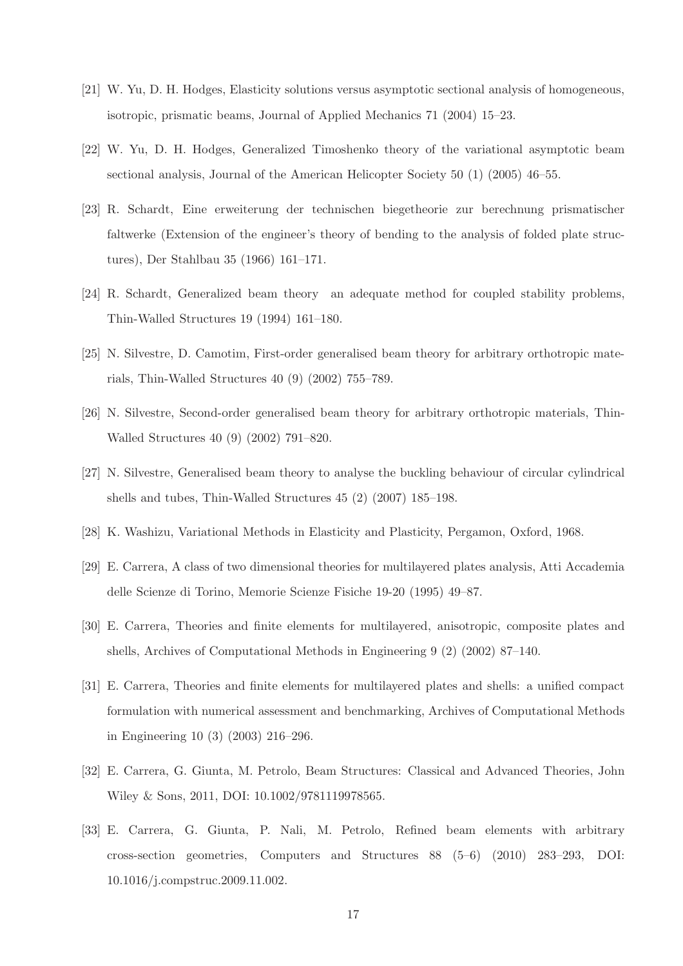- [21] W. Yu, D. H. Hodges, Elasticity solutions versus asymptotic sectional analysis of homogeneous, isotropic, prismatic beams, Journal of Applied Mechanics 71 (2004) 15–23.
- [22] W. Yu, D. H. Hodges, Generalized Timoshenko theory of the variational asymptotic beam sectional analysis, Journal of the American Helicopter Society 50 (1) (2005) 46–55.
- [23] R. Schardt, Eine erweiterung der technischen biegetheorie zur berechnung prismatischer faltwerke (Extension of the engineer's theory of bending to the analysis of folded plate structures), Der Stahlbau 35 (1966) 161–171.
- [24] R. Schardt, Generalized beam theory an adequate method for coupled stability problems, Thin-Walled Structures 19 (1994) 161–180.
- [25] N. Silvestre, D. Camotim, First-order generalised beam theory for arbitrary orthotropic materials, Thin-Walled Structures 40 (9) (2002) 755–789.
- [26] N. Silvestre, Second-order generalised beam theory for arbitrary orthotropic materials, Thin-Walled Structures 40 (9) (2002) 791–820.
- [27] N. Silvestre, Generalised beam theory to analyse the buckling behaviour of circular cylindrical shells and tubes, Thin-Walled Structures 45 (2) (2007) 185–198.
- [28] K. Washizu, Variational Methods in Elasticity and Plasticity, Pergamon, Oxford, 1968.
- [29] E. Carrera, A class of two dimensional theories for multilayered plates analysis, Atti Accademia delle Scienze di Torino, Memorie Scienze Fisiche 19-20 (1995) 49–87.
- [30] E. Carrera, Theories and finite elements for multilayered, anisotropic, composite plates and shells, Archives of Computational Methods in Engineering 9 (2) (2002) 87–140.
- [31] E. Carrera, Theories and finite elements for multilayered plates and shells: a unified compact formulation with numerical assessment and benchmarking, Archives of Computational Methods in Engineering 10 (3) (2003) 216–296.
- [32] E. Carrera, G. Giunta, M. Petrolo, Beam Structures: Classical and Advanced Theories, John Wiley & Sons, 2011, DOI: 10.1002/9781119978565.
- [33] E. Carrera, G. Giunta, P. Nali, M. Petrolo, Refined beam elements with arbitrary cross-section geometries, Computers and Structures 88 (5–6) (2010) 283–293, DOI: 10.1016/j.compstruc.2009.11.002.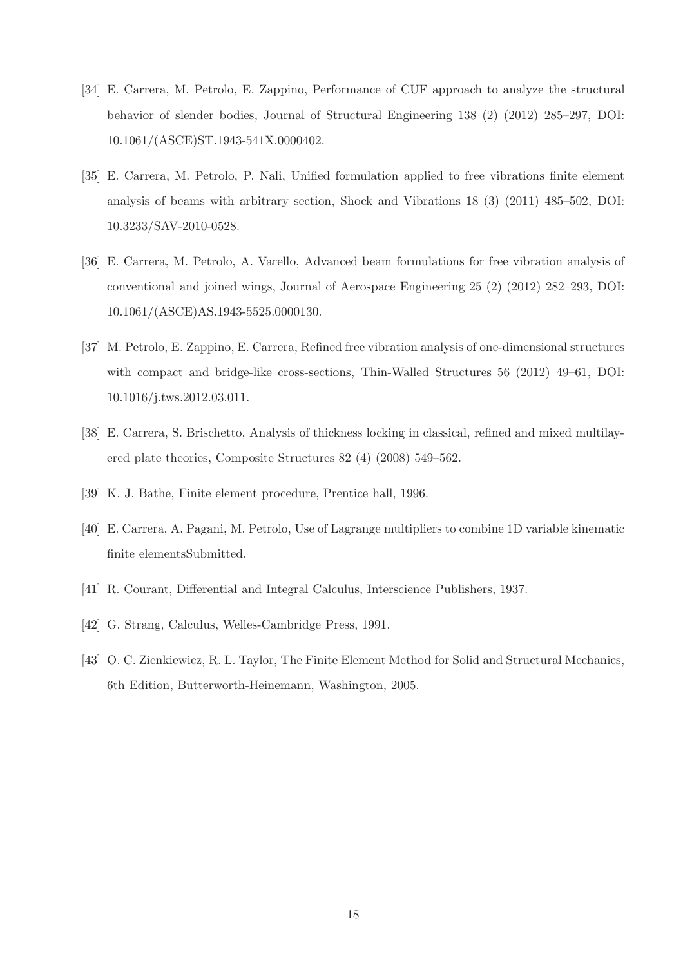- [34] E. Carrera, M. Petrolo, E. Zappino, Performance of CUF approach to analyze the structural behavior of slender bodies, Journal of Structural Engineering 138 (2) (2012) 285–297, DOI: 10.1061/(ASCE)ST.1943-541X.0000402.
- [35] E. Carrera, M. Petrolo, P. Nali, Unified formulation applied to free vibrations finite element analysis of beams with arbitrary section, Shock and Vibrations 18 (3) (2011) 485–502, DOI: 10.3233/SAV-2010-0528.
- [36] E. Carrera, M. Petrolo, A. Varello, Advanced beam formulations for free vibration analysis of conventional and joined wings, Journal of Aerospace Engineering 25 (2) (2012) 282–293, DOI: 10.1061/(ASCE)AS.1943-5525.0000130.
- [37] M. Petrolo, E. Zappino, E. Carrera, Refined free vibration analysis of one-dimensional structures with compact and bridge-like cross-sections, Thin-Walled Structures 56 (2012) 49–61, DOI: 10.1016/j.tws.2012.03.011.
- [38] E. Carrera, S. Brischetto, Analysis of thickness locking in classical, refined and mixed multilayered plate theories, Composite Structures 82 (4) (2008) 549–562.
- [39] K. J. Bathe, Finite element procedure, Prentice hall, 1996.
- [40] E. Carrera, A. Pagani, M. Petrolo, Use of Lagrange multipliers to combine 1D variable kinematic finite elementsSubmitted.
- [41] R. Courant, Differential and Integral Calculus, Interscience Publishers, 1937.
- [42] G. Strang, Calculus, Welles-Cambridge Press, 1991.
- [43] O. C. Zienkiewicz, R. L. Taylor, The Finite Element Method for Solid and Structural Mechanics, 6th Edition, Butterworth-Heinemann, Washington, 2005.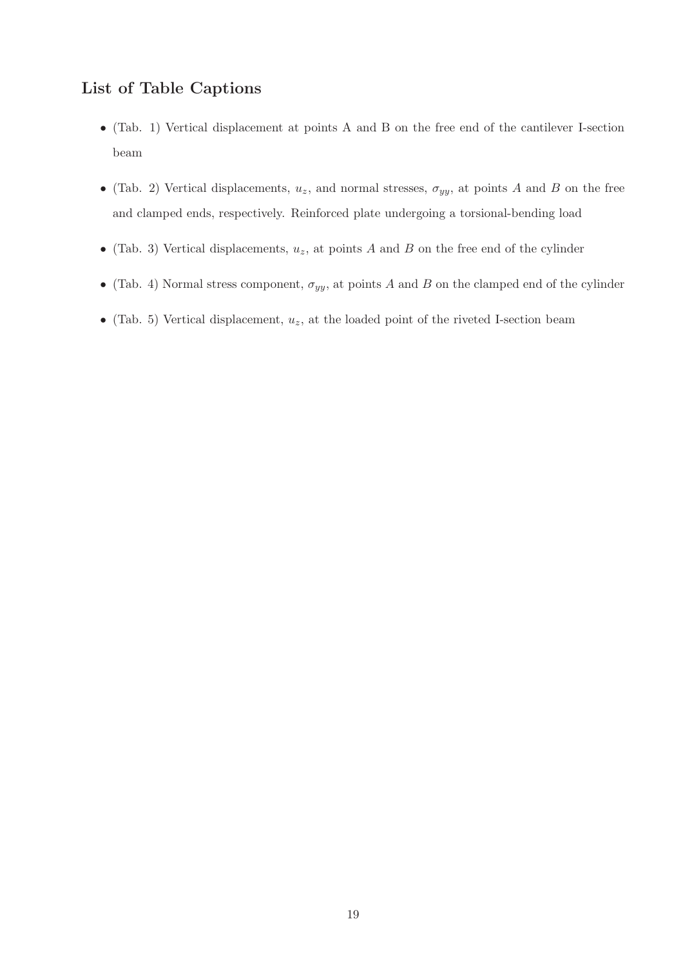# List of Table Captions

- (Tab. 1) Vertical displacement at points A and B on the free end of the cantilever I-section beam
- (Tab. 2) Vertical displacements,  $u_z$ , and normal stresses,  $\sigma_{yy}$ , at points A and B on the free and clamped ends, respectively. Reinforced plate undergoing a torsional-bending load
- (Tab. 3) Vertical displacements,  $u_z$ , at points A and B on the free end of the cylinder
- (Tab. 4) Normal stress component,  $\sigma_{yy}$ , at points A and B on the clamped end of the cylinder
- (Tab. 5) Vertical displacement,  $u_z$ , at the loaded point of the riveted I-section beam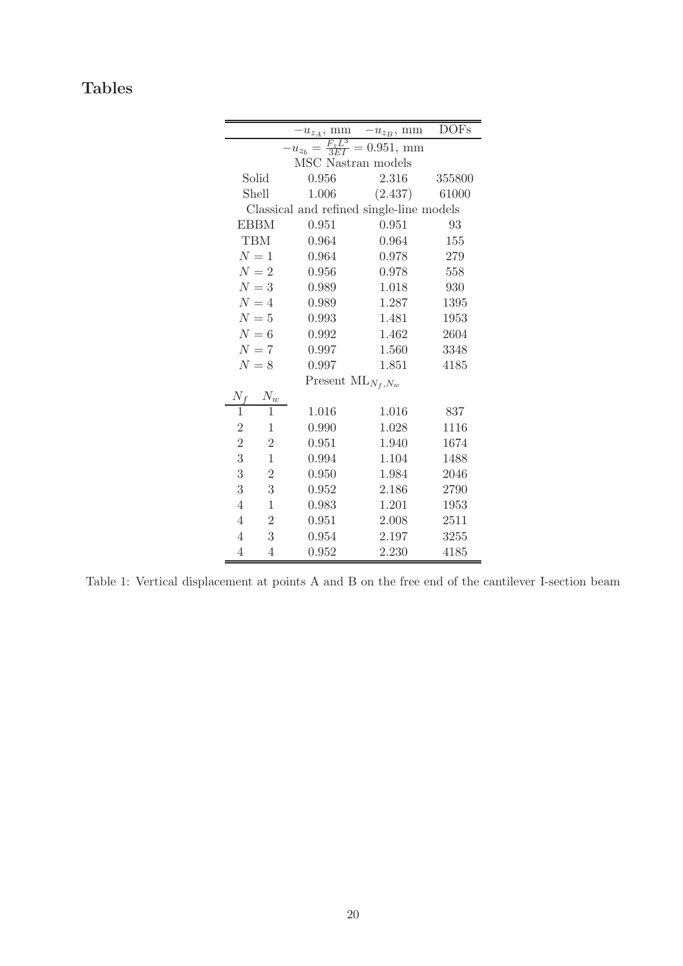# Tables

|                                               | $-u_{z_A}, \text{ mm}$                   | $-u_{z_{B}},\,\mathrm{mm}$ | <b>DOFs</b>       |  |  |  |  |
|-----------------------------------------------|------------------------------------------|----------------------------|-------------------|--|--|--|--|
| $-u_{z_b} = \frac{F_z L^3}{3EI} = 0.951$ , mm |                                          |                            |                   |  |  |  |  |
| MSC Nastran models                            |                                          |                            |                   |  |  |  |  |
| Solid                                         | 0.956                                    | 2.316                      | 355800            |  |  |  |  |
| Shell                                         | 1.006                                    | (2.437)                    | 61000             |  |  |  |  |
|                                               | Classical and refined single-line models |                            |                   |  |  |  |  |
| <b>EBBM</b>                                   | 0.951                                    | 0.951                      | $\boldsymbol{93}$ |  |  |  |  |
| <b>TBM</b>                                    | 0.964                                    | 0.964                      | 155               |  |  |  |  |
| $N=1$                                         | 0.964                                    | 0.978                      | 279               |  |  |  |  |
| $N=2$                                         | 0.956                                    | 0.978                      | 558               |  |  |  |  |
| $N=3$                                         | 0.989                                    | 1.018                      | 930               |  |  |  |  |
| $N=4$                                         | 0.989                                    | 1.287                      | 1395              |  |  |  |  |
| $N=5$                                         | 0.993                                    | 1.481                      | 1953              |  |  |  |  |
| $N=6$                                         | 0.992                                    | 1.462                      | 2604              |  |  |  |  |
| $N=7$                                         | 0.997                                    | 1.560                      | 3348              |  |  |  |  |
| $N=8$                                         | 0.997                                    | 1.851                      | 4185              |  |  |  |  |
| Present $\mathrm{ML}_{N_f,N_w}$               |                                          |                            |                   |  |  |  |  |
| $N_w$                                         |                                          |                            |                   |  |  |  |  |
|                                               | 1.016                                    | 1.016                      | 837               |  |  |  |  |
| $\overline{2}$<br>1                           | 0.990                                    | 1.028                      | 1116              |  |  |  |  |
| $\overline{2}$<br>$\sqrt{2}$                  | 0.951                                    | 1.940                      | 1674              |  |  |  |  |
| $\overline{3}$<br>$\mathbf{1}$                | 0.994                                    | 1.104                      | 1488              |  |  |  |  |
| 3<br>$\sqrt{2}$                               | 0.950                                    | 1.984                      | 2046              |  |  |  |  |
| 3<br>3                                        | 0.952                                    | 2.186                      | 2790              |  |  |  |  |
| $\overline{4}$<br>1                           | 0.983                                    | 1.201                      | 1953              |  |  |  |  |
| $\overline{4}$<br>$\overline{2}$              | 0.951                                    | 2.008                      | 2511              |  |  |  |  |
| 3<br>$\overline{4}$                           | 0.954                                    | 2.197                      | 3255              |  |  |  |  |
| $\overline{4}$<br>$\overline{4}$              | 0.952                                    | 2.230                      | 4185              |  |  |  |  |

Table 1: Vertical displacement at points A and B on the free end of the cantilever I-section beam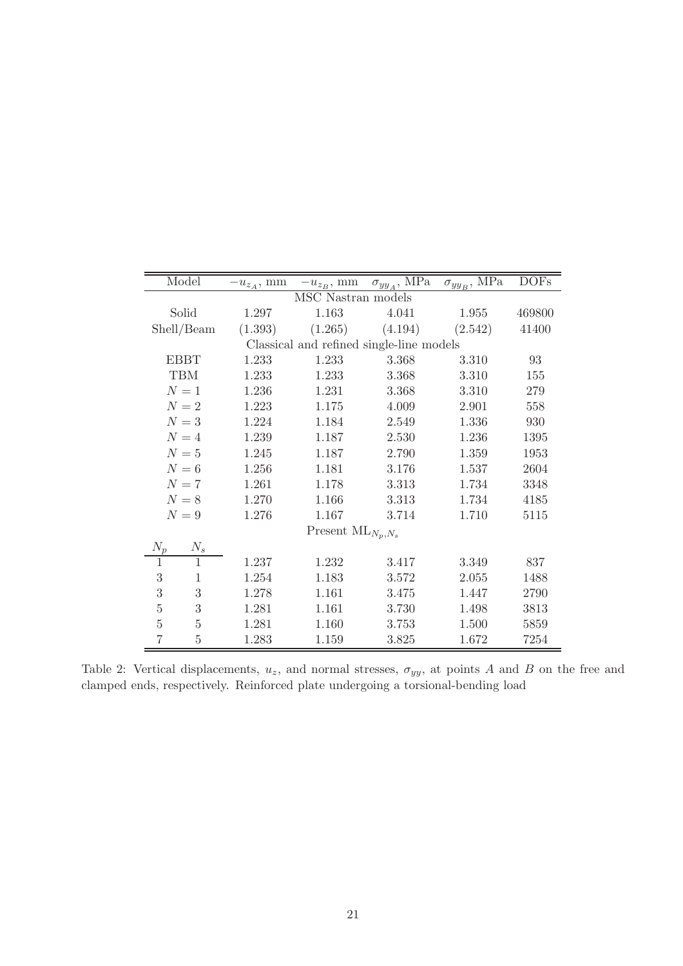| Model                            | $-u_{z_{A}},\,\mathrm{mm}$               | $-u_{z_B}$ , mm               |         | $\sigma_{yy_A}$ , MPa $\sigma_{yy_B}$ , MPa | <b>DOFs</b> |  |  |  |
|----------------------------------|------------------------------------------|-------------------------------|---------|---------------------------------------------|-------------|--|--|--|
| MSC Nastran models               |                                          |                               |         |                                             |             |  |  |  |
| Solid                            | 1.297                                    | 1.163                         | 4.041   | 1.955                                       | 469800      |  |  |  |
| Shell/Beam                       | (1.393)                                  | (1.265)                       | (4.194) | (2.542)                                     | 41400       |  |  |  |
|                                  | Classical and refined single-line models |                               |         |                                             |             |  |  |  |
| <b>EBBT</b>                      | 1.233                                    | 1.233                         | 3.368   | 3.310                                       | 93          |  |  |  |
| <b>TBM</b>                       | 1.233                                    | 1.233                         | 3.368   | 3.310                                       | 155         |  |  |  |
| $N=1$                            | 1.236                                    | 1.231                         | 3.368   | 3.310                                       | 279         |  |  |  |
| $N=2$                            | 1.223                                    | 1.175                         | 4.009   | 2.901                                       | 558         |  |  |  |
| $N=3$                            | 1.224                                    | 1.184                         | 2.549   | 1.336                                       | 930         |  |  |  |
| $N=4$                            | 1.239                                    | 1.187                         | 2.530   | 1.236                                       | 1395        |  |  |  |
| $N=5$                            | 1.245                                    | 1.187                         | 2.790   | 1.359                                       | 1953        |  |  |  |
| $N=6$                            | 1.256                                    | 1.181                         | 3.176   | 1.537                                       | 2604        |  |  |  |
| $N=7$                            | 1.261                                    | 1.178                         | 3.313   | 1.734                                       | 3348        |  |  |  |
| $N=8$                            | 1.270                                    | 1.166                         | 3.313   | 1.734                                       | 4185        |  |  |  |
| $N=9$                            | 1.276                                    | 1.167                         | 3.714   | 1.710                                       | 5115        |  |  |  |
|                                  |                                          | Present $\text{ML}_{N_p,N_s}$ |         |                                             |             |  |  |  |
| $N_s$<br>$N_p$                   |                                          |                               |         |                                             |             |  |  |  |
| 1                                | 1.237                                    | 1.232                         | 3.417   | 3.349                                       | 837         |  |  |  |
| 3<br>1                           | 1.254                                    | 1.183                         | 3.572   | 2.055                                       | 1488        |  |  |  |
| 3<br>3                           | 1.278                                    | 1.161                         | 3.475   | 1.447                                       | 2790        |  |  |  |
| $\overline{5}$<br>3              | 1.281                                    | 1.161                         | 3.730   | 1.498                                       | 3813        |  |  |  |
| $\overline{5}$<br>$\overline{5}$ | 1.281                                    | 1.160                         | 3.753   | 1.500                                       | 5859        |  |  |  |
| 7<br>$\overline{5}$              | 1.283                                    | 1.159                         | 3.825   | 1.672                                       | 7254        |  |  |  |

Table 2: Vertical displacements,  $u_z$ , and normal stresses,  $\sigma_{yy}$ , at points A and B on the free and clamped ends, respectively. Reinforced plate undergoing a torsional-bending load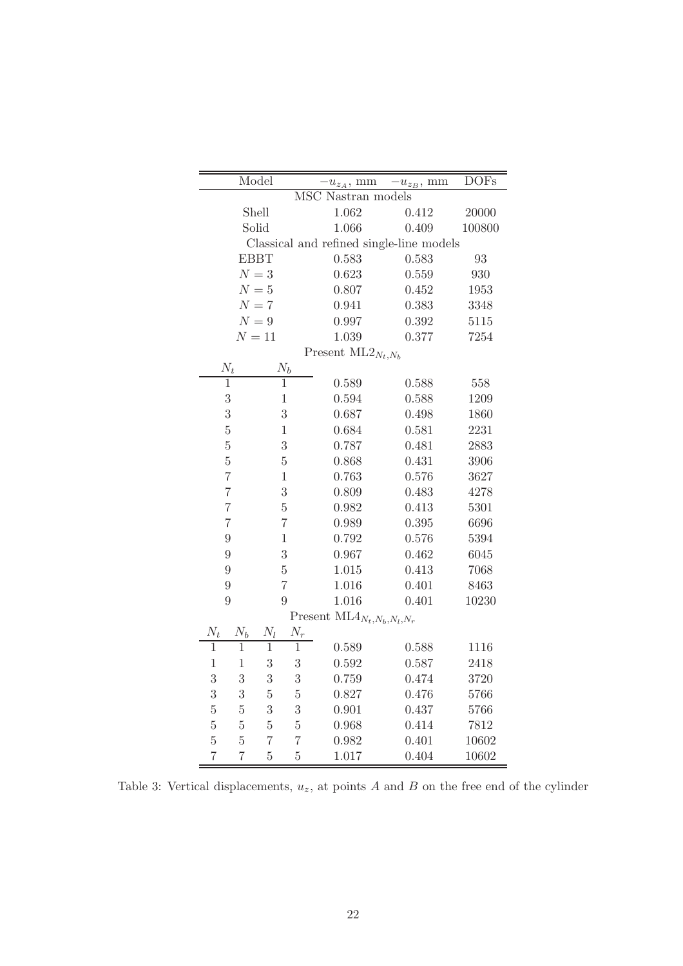|                |                |                |                  |                                          |                 | <b>DOFs</b> |
|----------------|----------------|----------------|------------------|------------------------------------------|-----------------|-------------|
| Model          |                |                |                  | $u_{z_A}$ , mm<br>MSC Nastran models     | $-u_{z_B}$ , mm |             |
| Shell          |                |                |                  | 1.062                                    | 0.412           | 20000       |
| Solid          |                |                |                  | 1.066                                    | 0.409           | 100800      |
|                |                |                |                  | Classical and refined single-line models |                 |             |
|                |                | <b>EBBT</b>    |                  | 0.583                                    | 0.583           | 93          |
|                |                | $N=3$          |                  | 0.623                                    | 0.559           | 930         |
|                |                | $N=5$          |                  | 0.807                                    | 0.452           | 1953        |
|                |                | $N=7$          |                  | $\,0.941\,$                              | $0.383\,$       | 3348        |
|                |                | ${\cal N}=9$   |                  | 0.997                                    | $0.392\,$       | 5115        |
|                |                | $N=11$         |                  | 1.039                                    | 0.377           | 7254        |
|                |                |                |                  | Present $ML2_{N_t,N_b}$                  |                 |             |
|                | $N_t$          |                |                  |                                          |                 |             |
|                | T              |                | $\frac{N_b}{1}$  | 0.589                                    | $0.588\,$       | $558\,$     |
|                | 3              |                | $\mathbf 1$      | $\,0.594\,$                              | 0.588           | 1209        |
|                | 3              |                | 3                | 0.687                                    | 0.498           | 1860        |
|                | $\overline{5}$ |                | $\mathbf{1}$     | 0.684                                    | $\!0.581$       | 2231        |
|                | $\overline{5}$ |                | 3                | 0.787                                    | 0.481           | 2883        |
|                | $\overline{5}$ |                | $\rm 5$          | 0.868                                    | 0.431           | 3906        |
|                | $\overline{7}$ |                | $\mathbf{1}$     | 0.763                                    | 0.576           | 3627        |
|                | $\overline{7}$ |                | $\boldsymbol{3}$ | 0.809                                    | 0.483           | 4278        |
|                | $\overline{7}$ |                | $\bf 5$          | 0.982                                    | 0.413           | 5301        |
|                | $\overline{7}$ |                | $\overline{7}$   | 0.989                                    | 0.395           | 6696        |
|                | 9              |                | $\mathbf{1}$     | 0.792                                    | $0.576\,$       | 5394        |
|                | 9              |                | 3                | $0.967\,$                                | $0.462\,$       | 6045        |
|                | 9              |                | $\bf 5$          | 1.015                                    | 0.413           | 7068        |
|                | 9              |                | $\overline{7}$   | 1.016                                    | 0.401           | 8463        |
|                | 9              |                | 9                | 1.016                                    | 0.401           | 10230       |
|                |                |                |                  | Present $ML4_{N_t,N_b,N_l,N_r}$          |                 |             |
|                |                | $N_l$          | $\frac{N_r}{1}$  |                                          |                 |             |
| 1              | ī              |                |                  | 0.589                                    | 0.588           | 1116        |
| $\mathbf{1}$   | $\mathbf{1}$   | 3              | 3                | 0.592                                    | 0.587           | 2418        |
| 3              | 3              | $\sqrt{3}$     | 3                | 0.759                                    | $0.474\,$       | 3720        |
| 3              | $\sqrt{3}$     | $\overline{5}$ | $\overline{5}$   | $0.827\,$                                | 0.476           | 5766        |
| $\overline{5}$ | $\bf 5$        | 3              | 3                | 0.901                                    | $0.437\,$       | 5766        |
| $\rm 5$        | $\bf 5$        | $\overline{5}$ | $\overline{5}$   | 0.968                                    | 0.414           | 7812        |
| $\overline{5}$ | $\rm 5$        | $\overline{7}$ | $\overline{7}$   | 0.982                                    | 0.401           | 10602       |
| $\overline{7}$ | $\overline{7}$ | $\overline{5}$ | $\overline{5}$   | 1.017                                    | 0.404           | 10602       |

Table 3: Vertical displacements,  $u_z$ , at points  $A$  and  $B$  on the free end of the cylinder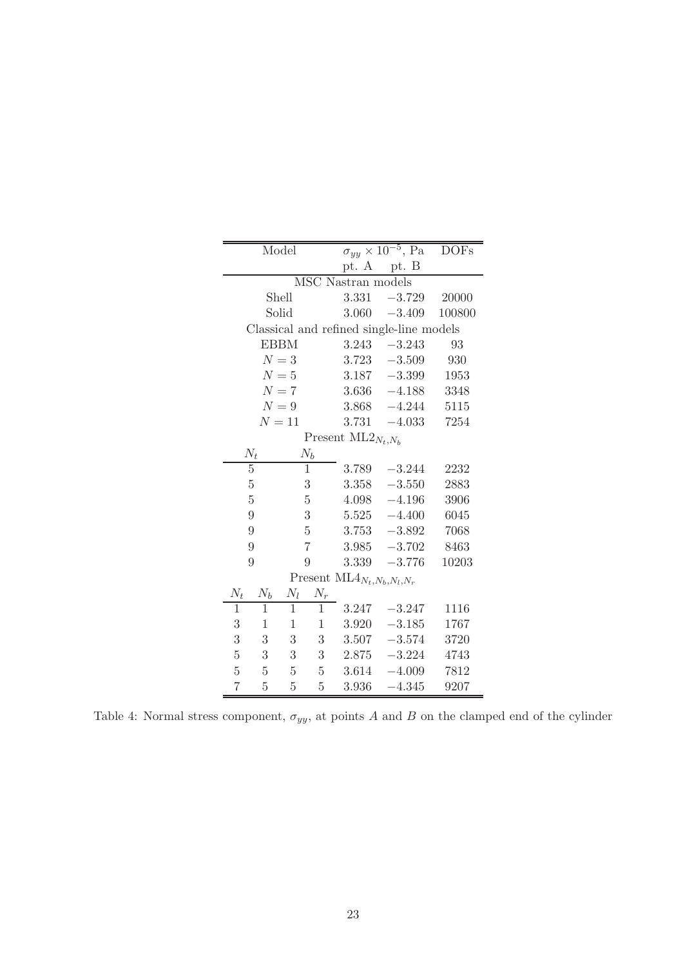|                    |                         | Model          |                 | $\sigma_{yy} \times \overline{10^{-5}, \text{Pa}}$ | $\overline{\text{DOFs}}$                 |        |  |  |
|--------------------|-------------------------|----------------|-----------------|----------------------------------------------------|------------------------------------------|--------|--|--|
|                    |                         |                |                 | pt. A                                              | pt. B                                    |        |  |  |
| MSC Nastran models |                         |                |                 |                                                    |                                          |        |  |  |
|                    | Shell                   |                | 3.331           | $-3.729$                                           | 20000                                    |        |  |  |
|                    |                         | Solid          |                 | 3.060                                              | $-3.409$                                 | 100800 |  |  |
|                    |                         |                |                 |                                                    | Classical and refined single-line models |        |  |  |
|                    |                         | <b>EBBM</b>    |                 |                                                    | $3.243 - 3.243$                          | 93     |  |  |
|                    |                         | $N=3$          |                 | 3.723                                              | $-3.509$                                 | 930    |  |  |
|                    |                         | $N=5$          |                 | 3.187                                              | $-3.399$                                 | 1953   |  |  |
|                    |                         | $N=7$          |                 |                                                    | $3.636 -4.188$                           | 3348   |  |  |
|                    |                         | $N=9$          |                 |                                                    | $3.868 - 4.244$                          | 5115   |  |  |
|                    | $N=11$                  |                |                 | 3.731                                              | $-4.033$                                 | 7254   |  |  |
|                    | Present $ML2_{N_t,N_b}$ |                |                 |                                                    |                                          |        |  |  |
|                    | $N_t$                   |                | $\mathcal{N}_b$ |                                                    |                                          |        |  |  |
|                    | $\overline{5}$          | 1              |                 | 3.789                                              | $-3.244$                                 | 2232   |  |  |
|                    | $\overline{5}$          |                | 3               | 3.358                                              | $-3.550$                                 | 2883   |  |  |
|                    | $\bf 5$                 | $\overline{5}$ |                 | 4.098                                              | $-4.196$                                 | 3906   |  |  |
|                    | 9                       |                | 3               | 5.525                                              | $-4.400$                                 | 6045   |  |  |
|                    | 9                       |                | $\overline{5}$  | 3.753                                              | $-3.892$                                 | 7068   |  |  |
|                    | 9                       |                | 7               | 3.985                                              | $-3.702$                                 | 8463   |  |  |
|                    | 9                       |                | 9               | 3.339                                              | $-3.776$                                 | 10203  |  |  |
|                    |                         |                |                 | Present $ML4_{N_t,N_b,N_l,N_r}$                    |                                          |        |  |  |
| $N_t$              | $N_b\,$                 | $N_l$          | $N_r$           |                                                    |                                          |        |  |  |
| 1                  | 1                       | $\mathbf{1}$   | 1               | 3.247                                              | $-3.247$                                 | 1116   |  |  |
| 3                  | 1                       | 1              | $\mathbf{1}$    | 3.920                                              | $-3.185$                                 | 1767   |  |  |
| $\boldsymbol{3}$   | 3                       | $\sqrt{3}$     | 3 <sup>1</sup>  | 3.507                                              | $-3.574$                                 | 3720   |  |  |
| $\overline{5}$     | 3                       | 3              | 3 <sup>1</sup>  | 2.875                                              | $-3.224$                                 | 4743   |  |  |
| $\overline{5}$     | $\overline{5}$          | $\overline{5}$ | 5 <sup>5</sup>  | 3.614                                              | $-4.009$                                 | 7812   |  |  |
| 7                  | $\overline{5}$          | $\overline{5}$ | $\overline{5}$  | 3.936                                              | $-4.345$                                 | 9207   |  |  |

Table 4: Normal stress component,  $\sigma_{yy}$ , at points A and B on the clamped end of the cylinder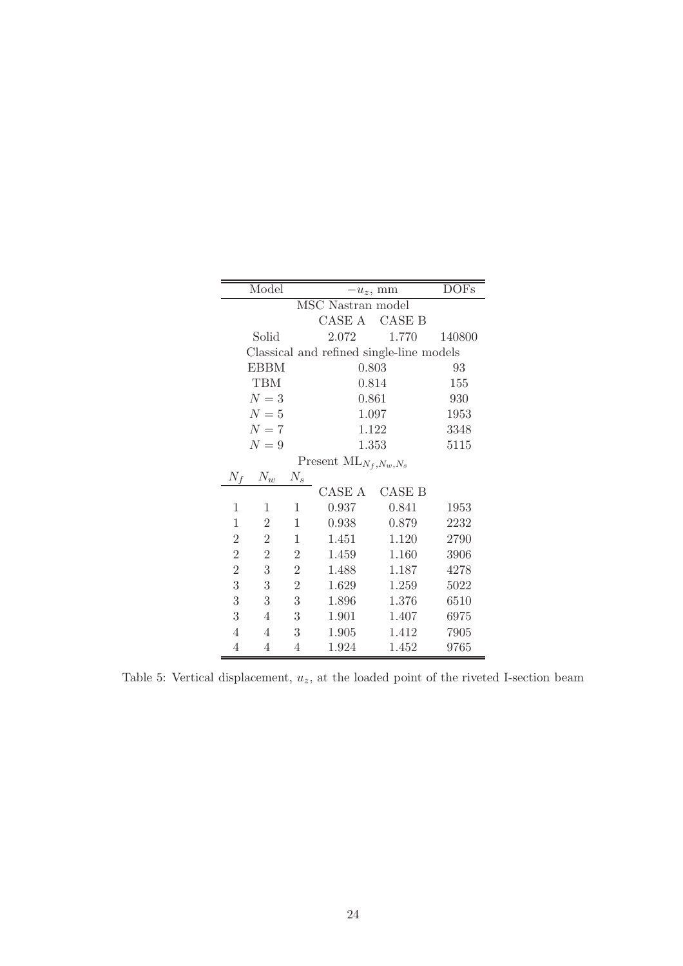|                                     | Model                                    | $-u_z$ , mm    |                |        | <b>DOFs</b> |  |
|-------------------------------------|------------------------------------------|----------------|----------------|--------|-------------|--|
| MSC Nastran model                   |                                          |                |                |        |             |  |
|                                     | CASE B<br>CASE A                         |                |                |        |             |  |
| Solid                               |                                          |                | 2.072          | 1.770  | 140800      |  |
|                                     | Classical and refined single-line models |                |                |        |             |  |
|                                     | <b>EBBM</b>                              |                | 0.803          |        | 93          |  |
|                                     | <b>TBM</b>                               |                | 0.814          |        | 155         |  |
|                                     | $N=3$                                    |                | 0.861          |        | 930         |  |
|                                     | $N=5$                                    |                | 1.097          |        | 1953        |  |
|                                     | $N=7$                                    |                | 1.122          |        | 3348        |  |
| $N=9$                               |                                          |                | 1.353          |        | 5115        |  |
| Present $\text{ML}_{N_f, N_w, N_s}$ |                                          |                |                |        |             |  |
| $N_{\it f}$                         | $\mathcal{N}_w$                          | $N_s$          |                |        |             |  |
|                                     |                                          |                | CASE A         | CASE B |             |  |
| 1                                   | 1                                        | 1              | 0.937          | 0.841  | 1953        |  |
| 1                                   | $\overline{2}$                           | 1              | 0.938          | 0.879  | 2232        |  |
| $\overline{2}$                      | $\overline{2}$                           | 1              | 1.451<br>1.120 |        | 2790        |  |
| $\overline{2}$                      | $\overline{2}$                           | $\overline{2}$ | 1.459          | 1.160  | 3906        |  |
| $\overline{2}$                      | 3                                        | $\overline{2}$ | 1.488          | 1.187  | 4278        |  |
| 3                                   | 3                                        | $\overline{2}$ | 1.629          | 1.259  | 5022        |  |
| 3                                   | 3                                        | 3              | 1.896          | 1.376  | 6510        |  |
| 3                                   | 4                                        | 3              | 1.901          | 1.407  | 6975        |  |
| 4                                   | 4                                        | 3              | 1.905          | 1.412  | 7905        |  |
| 4                                   | 4                                        | 4              | 1.924          | 1.452  | 9765        |  |

Table 5: Vertical displacement,  $u_z$ , at the loaded point of the riveted I-section beam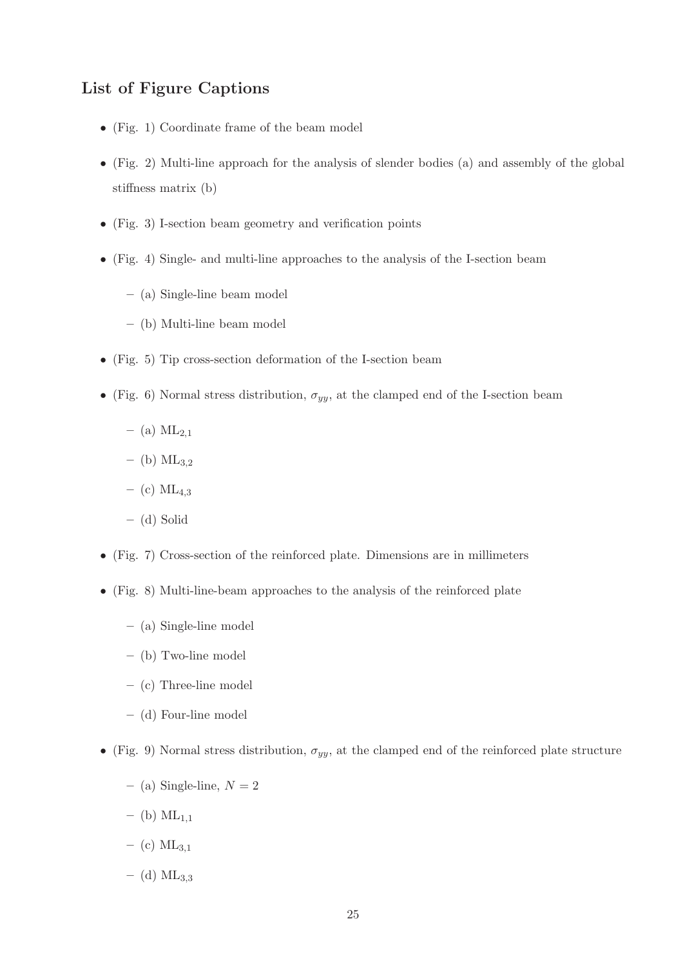# List of Figure Captions

- (Fig. 1) Coordinate frame of the beam model
- (Fig. 2) Multi-line approach for the analysis of slender bodies (a) and assembly of the global stiffness matrix (b)
- (Fig. 3) I-section beam geometry and verification points
- (Fig. 4) Single- and multi-line approaches to the analysis of the I-section beam
	- (a) Single-line beam model
	- (b) Multi-line beam model
- (Fig. 5) Tip cross-section deformation of the I-section beam
- (Fig. 6) Normal stress distribution,  $\sigma_{yy}$ , at the clamped end of the I-section beam
	- $-$  (a)  $ML_{2,1}$
	- $-$  (b)  $ML_{3,2}$
	- $-$  (c) ML<sub>4.3</sub>
	- (d) Solid
- (Fig. 7) Cross-section of the reinforced plate. Dimensions are in millimeters
- (Fig. 8) Multi-line-beam approaches to the analysis of the reinforced plate
	- (a) Single-line model
	- (b) Two-line model
	- (c) Three-line model
	- (d) Four-line model
- (Fig. 9) Normal stress distribution,  $\sigma_{yy}$ , at the clamped end of the reinforced plate structure
	- (a) Single-line,  $N = 2$
	- $-$  (b) ML<sub>1,1</sub>
	- $-$  (c) ML<sub>3.1</sub>
	- $-$  (d) ML<sub>3.3</sub>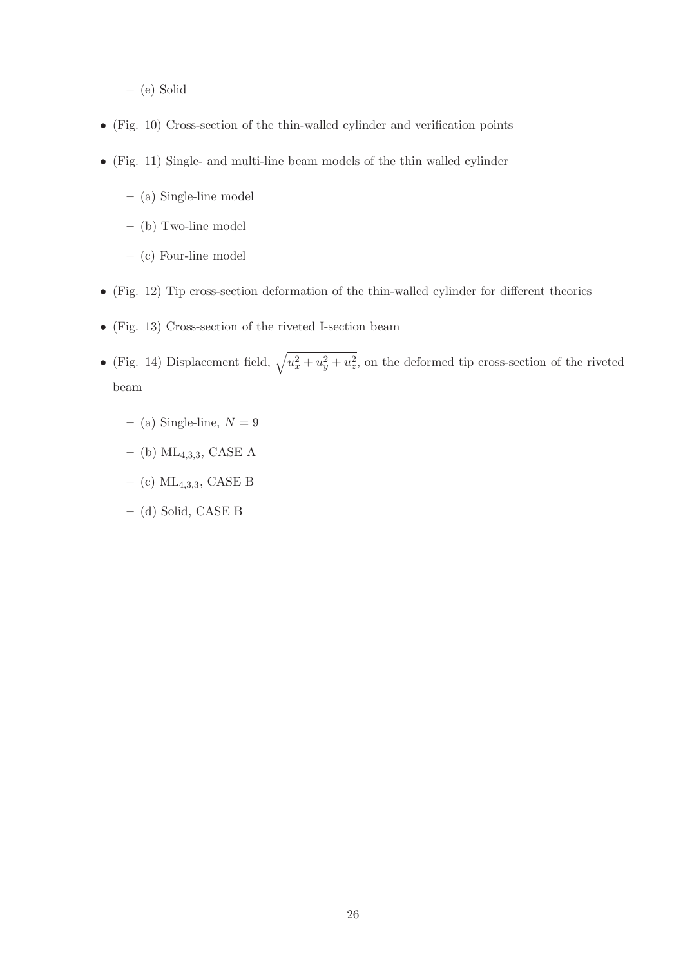– (e) Solid

- (Fig. 10) Cross-section of the thin-walled cylinder and verification points
- (Fig. 11) Single- and multi-line beam models of the thin walled cylinder
	- (a) Single-line model
	- (b) Two-line model
	- (c) Four-line model
- (Fig. 12) Tip cross-section deformation of the thin-walled cylinder for different theories
- (Fig. 13) Cross-section of the riveted I-section beam
- (Fig. 14) Displacement field,  $\sqrt{u_x^2 + u_y^2 + u_z^2}$ , on the deformed tip cross-section of the riveted beam
	- (a) Single-line,  $N = 9$
	- $-$  (b) ML<sub>4,3,3</sub>, CASE A
	- (c)  $ML_{4,3,3}$ , CASE B
	- (d) Solid, CASE B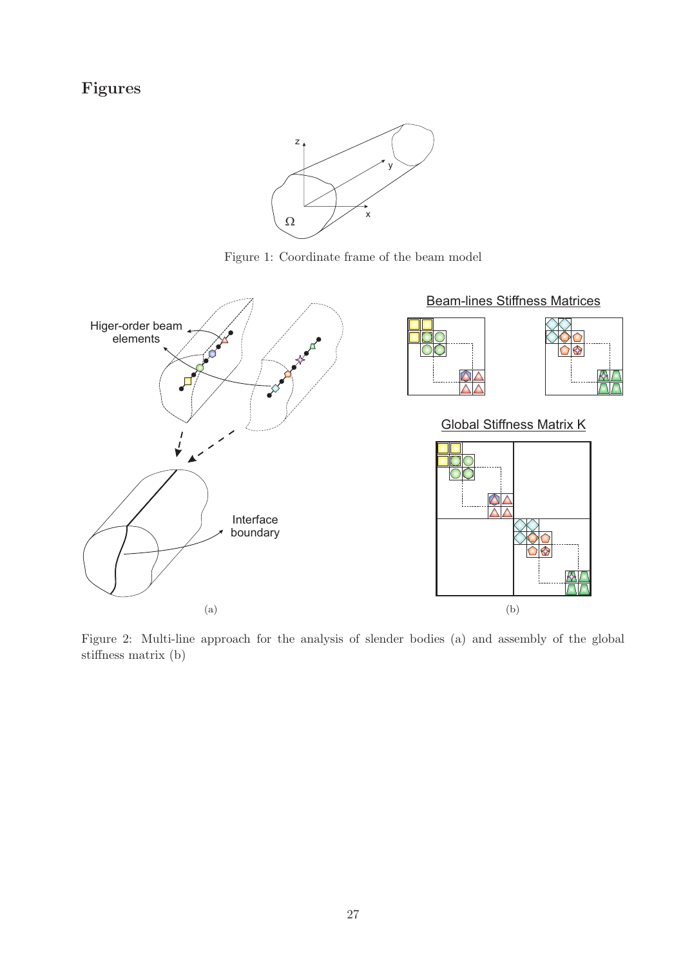Figures



Figure 1: Coordinate frame of the beam model



Figure 2: Multi-line approach for the analysis of slender bodies (a) and assembly of the global stiffness matrix (b)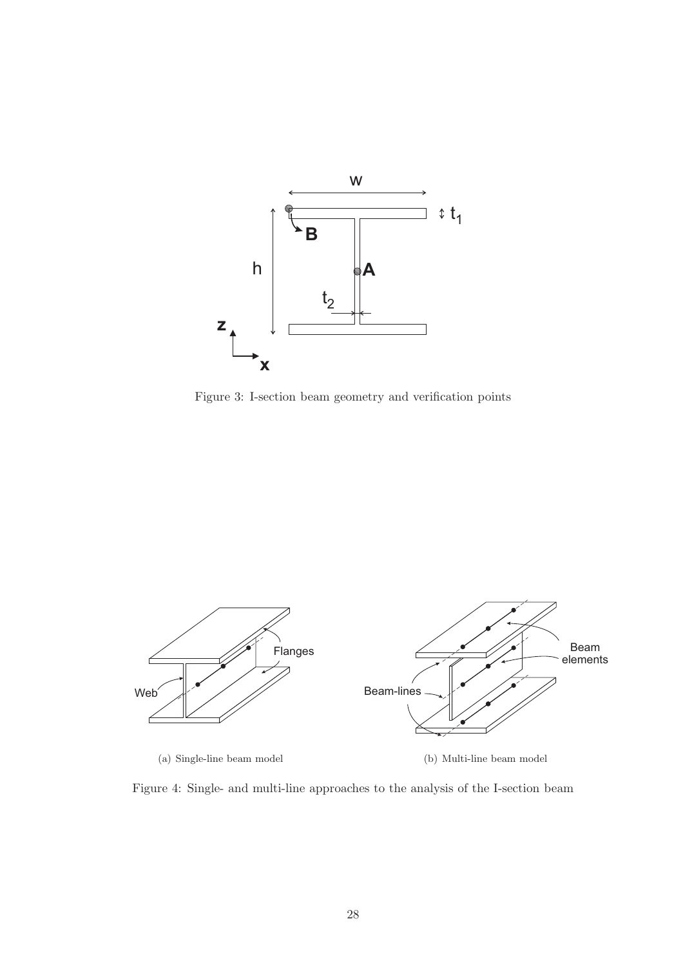

Figure 3: I-section beam geometry and verification points



Figure 4: Single- and multi-line approaches to the analysis of the I-section beam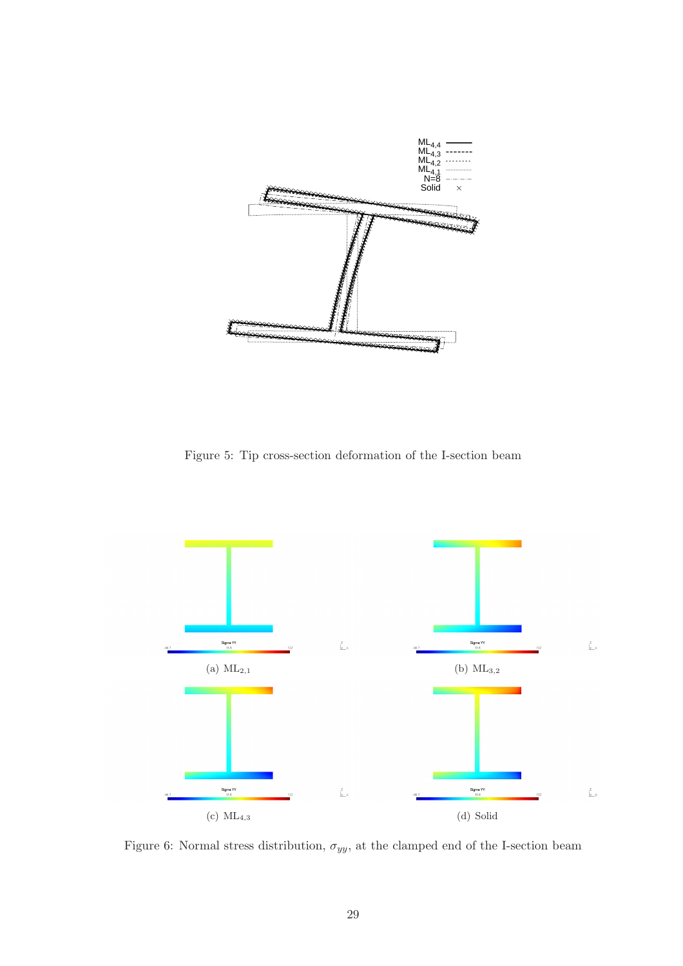

Figure 5: Tip cross-section deformation of the I-section beam



Figure 6: Normal stress distribution,  $\sigma_{yy}$ , at the clamped end of the I-section beam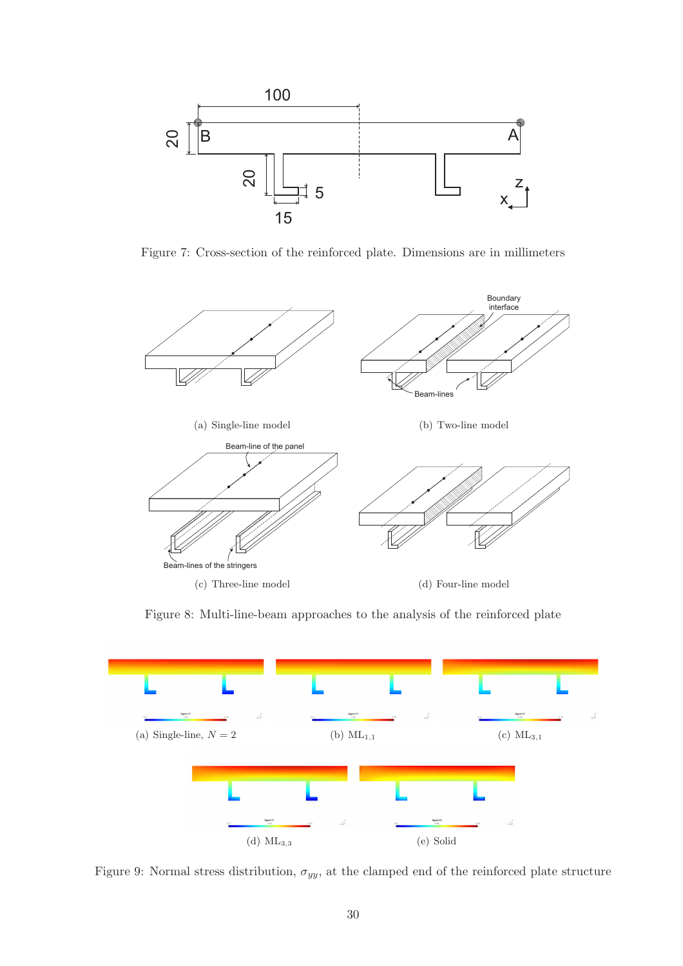

Figure 7: Cross-section of the reinforced plate. Dimensions are in millimeters



Figure 8: Multi-line-beam approaches to the analysis of the reinforced plate



Figure 9: Normal stress distribution,  $\sigma_{yy}$ , at the clamped end of the reinforced plate structure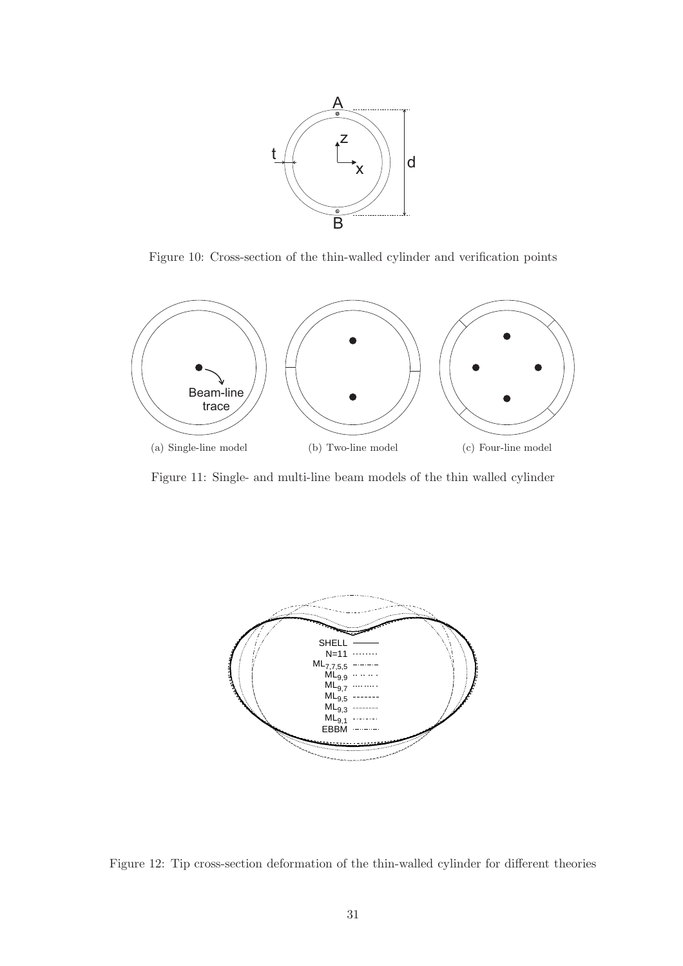

Figure 10: Cross-section of the thin-walled cylinder and verification points



Figure 11: Single- and multi-line beam models of the thin walled cylinder



Figure 12: Tip cross-section deformation of the thin-walled cylinder for different theories